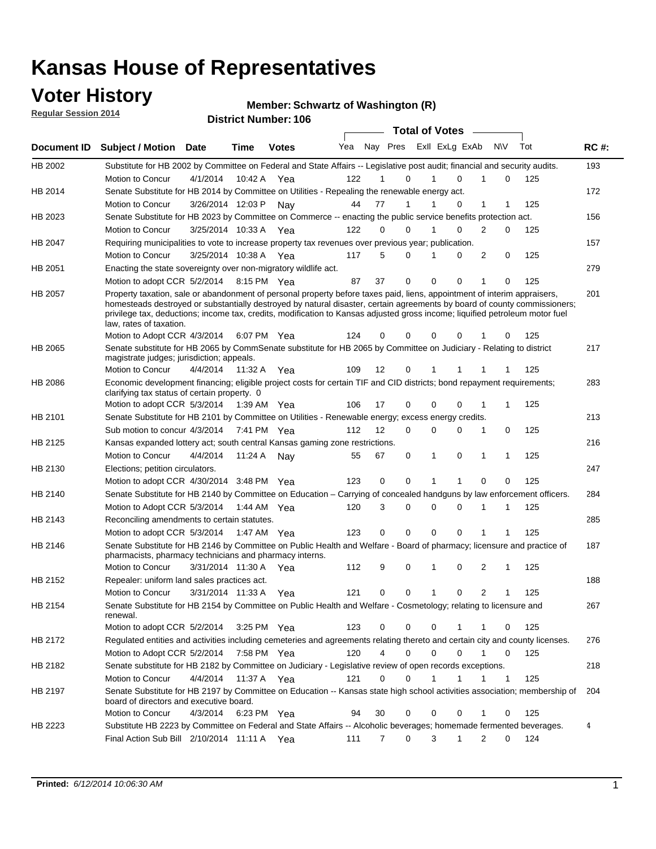### **Voter History**

**Regular Session 2014**

#### **Member: Schwartz of Washington (R)**

|                |                                                                                                                                                                                                                                                                                                                                                                                                                                                  |                       |              | <b>DISTRICT MAILINGL'S LAD</b> |     |                   |                  | <b>Total of Votes</b> |                |                  |     |             |
|----------------|--------------------------------------------------------------------------------------------------------------------------------------------------------------------------------------------------------------------------------------------------------------------------------------------------------------------------------------------------------------------------------------------------------------------------------------------------|-----------------------|--------------|--------------------------------|-----|-------------------|------------------|-----------------------|----------------|------------------|-----|-------------|
|                | Document ID Subject / Motion                                                                                                                                                                                                                                                                                                                                                                                                                     | <b>Date</b>           | Time         | <b>Votes</b>                   | Yea |                   | Nay Pres         |                       | Exll ExLg ExAb | <b>NV</b>        | Tot | <b>RC#:</b> |
| HB 2002        | Substitute for HB 2002 by Committee on Federal and State Affairs -- Legislative post audit; financial and security audits.                                                                                                                                                                                                                                                                                                                       |                       |              |                                |     |                   |                  |                       |                |                  |     | 193         |
|                | Motion to Concur                                                                                                                                                                                                                                                                                                                                                                                                                                 | 4/1/2014              |              | 10:42 A Yea                    | 122 |                   | 0                |                       | $\Omega$       | 0                | 125 |             |
| HB 2014        | Senate Substitute for HB 2014 by Committee on Utilities - Repealing the renewable energy act.                                                                                                                                                                                                                                                                                                                                                    |                       |              |                                |     |                   |                  |                       |                |                  |     | 172         |
|                | Motion to Concur                                                                                                                                                                                                                                                                                                                                                                                                                                 | 3/26/2014 12:03 P     |              | Nav                            | 44  | 77                | 1                |                       | 0              | 1<br>1           | 125 |             |
| HB 2023        | Senate Substitute for HB 2023 by Committee on Commerce -- enacting the public service benefits protection act.                                                                                                                                                                                                                                                                                                                                   |                       |              |                                |     |                   |                  |                       |                |                  |     | 156         |
|                | Motion to Concur                                                                                                                                                                                                                                                                                                                                                                                                                                 | 3/25/2014 10:33 A Yea |              |                                | 122 |                   | $\Omega$<br>0    |                       | $\Omega$       | 2<br>0           | 125 |             |
| HB 2047        | Requiring municipalities to vote to increase property tax revenues over previous year; publication.                                                                                                                                                                                                                                                                                                                                              |                       |              |                                |     |                   |                  |                       |                |                  |     | 157         |
|                | Motion to Concur                                                                                                                                                                                                                                                                                                                                                                                                                                 | 3/25/2014 10:38 A     |              | Yea                            | 117 |                   | 5<br>0           |                       | 0              | 2<br>0           | 125 |             |
| HB 2051        | Enacting the state sovereignty over non-migratory wildlife act.                                                                                                                                                                                                                                                                                                                                                                                  |                       |              |                                |     |                   |                  |                       |                |                  |     | 279         |
|                | Motion to adopt CCR 5/2/2014                                                                                                                                                                                                                                                                                                                                                                                                                     |                       |              | 8:15 PM Yea                    | 87  | 37                | 0                | $\Omega$              | 0<br>1         | 0                | 125 |             |
| HB 2057        | Property taxation, sale or abandonment of personal property before taxes paid, liens, appointment of interim appraisers,<br>homesteads destroyed or substantially destroyed by natural disaster, certain agreements by board of county commissioners;<br>privilege tax, deductions; income tax, credits, modification to Kansas adjusted gross income; liquified petroleum motor fuel<br>law, rates of taxation.<br>Motion to Adopt CCR 4/3/2014 |                       |              | 6:07 PM Yea                    | 124 |                   | 0<br>0           | 0                     | 0              | 0                | 125 | 201         |
| <b>HB 2065</b> | Senate substitute for HB 2065 by CommSenate substitute for HB 2065 by Committee on Judiciary - Relating to district                                                                                                                                                                                                                                                                                                                              |                       |              |                                |     |                   |                  |                       |                |                  |     | 217         |
|                | magistrate judges; jurisdiction; appeals.                                                                                                                                                                                                                                                                                                                                                                                                        |                       |              |                                |     |                   |                  |                       |                |                  |     |             |
|                | Motion to Concur                                                                                                                                                                                                                                                                                                                                                                                                                                 | 4/4/2014 11:32 A Yea  |              |                                | 109 | $12 \overline{ }$ | $\mathbf 0$      | 1                     | 1<br>-1        | -1               | 125 |             |
| HB 2086        | Economic development financing; eligible project costs for certain TIF and CID districts; bond repayment requirements;<br>clarifying tax status of certain property. 0                                                                                                                                                                                                                                                                           |                       |              |                                |     |                   |                  |                       |                |                  |     | 283         |
|                | Motion to adopt CCR 5/3/2014                                                                                                                                                                                                                                                                                                                                                                                                                     |                       | 1:39 AM  Yea |                                | 106 | 17                | 0                | 0                     | 0<br>1         | 1                | 125 |             |
| HB 2101        | Senate Substitute for HB 2101 by Committee on Utilities - Renewable energy; excess energy credits.                                                                                                                                                                                                                                                                                                                                               |                       |              |                                |     |                   |                  |                       |                |                  |     | 213         |
|                | Sub motion to concur 4/3/2014                                                                                                                                                                                                                                                                                                                                                                                                                    |                       |              | 7:41 PM Yea                    | 112 | $12 \overline{ }$ | 0                | 0                     | 0              | 0<br>1           | 125 |             |
| HB 2125        | Kansas expanded lottery act; south central Kansas gaming zone restrictions.                                                                                                                                                                                                                                                                                                                                                                      |                       |              |                                |     |                   |                  |                       |                |                  |     | 216         |
|                | Motion to Concur                                                                                                                                                                                                                                                                                                                                                                                                                                 | 4/4/2014              | 11:24 A      | Nav                            | 55  | 67                | 0                | 1                     | 0              | 1<br>$\mathbf 1$ | 125 |             |
| HB 2130        | Elections; petition circulators.                                                                                                                                                                                                                                                                                                                                                                                                                 |                       |              |                                |     |                   |                  |                       |                |                  |     | 247         |
|                | Motion to adopt CCR 4/30/2014 3:48 PM Yea                                                                                                                                                                                                                                                                                                                                                                                                        |                       |              |                                | 123 |                   | 0<br>0           | 1                     | 1              | $\mathbf 0$<br>0 | 125 |             |
| HB 2140        | Senate Substitute for HB 2140 by Committee on Education – Carrying of concealed handguns by law enforcement officers.                                                                                                                                                                                                                                                                                                                            |                       |              |                                |     |                   |                  |                       |                |                  |     | 284         |
|                | Motion to Adopt CCR 5/3/2014                                                                                                                                                                                                                                                                                                                                                                                                                     |                       |              | 1:44 AM Yea                    | 120 |                   | 3<br>0           | 0                     | 0<br>1         | 1                | 125 |             |
| HB 2143        | Reconciling amendments to certain statutes.                                                                                                                                                                                                                                                                                                                                                                                                      |                       |              |                                |     |                   |                  |                       |                |                  |     | 285         |
|                | Motion to adopt CCR 5/3/2014                                                                                                                                                                                                                                                                                                                                                                                                                     |                       |              | 1:47 AM Yea                    | 123 |                   | 0<br>0           | 0                     | 0<br>1         | 1                | 125 |             |
| HB 2146        | Senate Substitute for HB 2146 by Committee on Public Health and Welfare - Board of pharmacy; licensure and practice of<br>pharmacists, pharmacy technicians and pharmacy interns.                                                                                                                                                                                                                                                                |                       |              |                                |     |                   |                  |                       |                |                  |     | 187         |
|                | Motion to Concur                                                                                                                                                                                                                                                                                                                                                                                                                                 | 3/31/2014 11:30 A     |              | Yea                            | 112 |                   | 9<br>0           | 1                     | $\mathbf 0$    | 2<br>1           | 125 |             |
| <b>HB 2152</b> | Repealer: uniform land sales practices act.                                                                                                                                                                                                                                                                                                                                                                                                      |                       |              |                                |     |                   |                  |                       |                |                  |     | 188         |
|                | <b>Motion to Concur</b>                                                                                                                                                                                                                                                                                                                                                                                                                          | 3/31/2014 11:33 A     |              | Yea                            | 121 |                   | 0<br>0           | 1                     | 0              | 2<br>1           | 125 |             |
| HB 2154        | Senate Substitute for HB 2154 by Committee on Public Health and Welfare - Cosmetology; relating to licensure and<br>renewal.                                                                                                                                                                                                                                                                                                                     |                       |              |                                |     |                   |                  |                       |                |                  |     | 267         |
|                | Motion to adopt CCR 5/2/2014 3:25 PM Yea                                                                                                                                                                                                                                                                                                                                                                                                         |                       |              |                                | 123 |                   | $\Omega$<br>0    | 0                     |                | 0                | 125 |             |
| HB 2172        | Regulated entities and activities including cemeteries and agreements relating thereto and certain city and county licenses.                                                                                                                                                                                                                                                                                                                     |                       |              |                                |     |                   |                  |                       |                |                  |     | 276         |
|                | Motion to Adopt CCR 5/2/2014                                                                                                                                                                                                                                                                                                                                                                                                                     |                       | 7:58 PM Yea  |                                | 120 |                   | 4<br>$\mathbf 0$ | $\mathbf 0$           | $\mathbf 0$    | 1<br>0           | 125 |             |
| HB 2182        | Senate substitute for HB 2182 by Committee on Judiciary - Legislative review of open records exceptions.                                                                                                                                                                                                                                                                                                                                         |                       |              |                                |     |                   |                  |                       |                |                  |     | 218         |
|                | Motion to Concur                                                                                                                                                                                                                                                                                                                                                                                                                                 | 4/4/2014 11:37 A Yea  |              |                                | 121 |                   | $\mathbf 0$<br>0 | 1                     | 1              | 1<br>$\mathbf 1$ | 125 |             |
| HB 2197        | Senate Substitute for HB 2197 by Committee on Education -- Kansas state high school activities association; membership of<br>board of directors and executive board.                                                                                                                                                                                                                                                                             |                       |              |                                |     |                   |                  |                       |                |                  |     | 204         |
|                | Motion to Concur                                                                                                                                                                                                                                                                                                                                                                                                                                 | 4/3/2014              |              | 6:23 PM Yea                    | 94  | 30                | 0                | 0                     | 0              | 1<br>0           | 125 |             |
| HB 2223        | Substitute HB 2223 by Committee on Federal and State Affairs -- Alcoholic beverages; homemade fermented beverages.                                                                                                                                                                                                                                                                                                                               |                       |              |                                |     |                   |                  |                       |                |                  |     | 4           |
|                | Final Action Sub Bill 2/10/2014 11:11 A Yea                                                                                                                                                                                                                                                                                                                                                                                                      |                       |              |                                | 111 |                   | 0<br>7           | 3                     | 1              | 2<br>0           | 124 |             |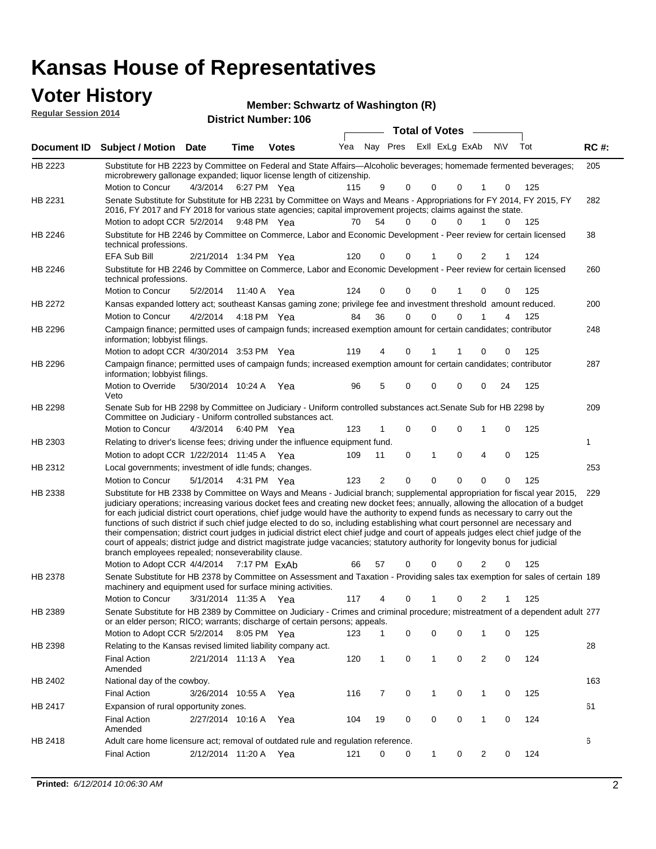### **Voter History**

**Regular Session 2014**

#### **Member: Schwartz of Washington (R)**

|                    |                                                                                                                                                                                                                                                                                                                                                                                                                                                                                                                                                                                                                                                                                                                                                                                                                                                                                                                  |                       |             | <b>DISTRICT MAILINGL. 100</b> |     |                |             | Total of Votes –        |             |   |     |     |             |
|--------------------|------------------------------------------------------------------------------------------------------------------------------------------------------------------------------------------------------------------------------------------------------------------------------------------------------------------------------------------------------------------------------------------------------------------------------------------------------------------------------------------------------------------------------------------------------------------------------------------------------------------------------------------------------------------------------------------------------------------------------------------------------------------------------------------------------------------------------------------------------------------------------------------------------------------|-----------------------|-------------|-------------------------------|-----|----------------|-------------|-------------------------|-------------|---|-----|-----|-------------|
| <b>Document ID</b> | <b>Subject / Motion Date</b>                                                                                                                                                                                                                                                                                                                                                                                                                                                                                                                                                                                                                                                                                                                                                                                                                                                                                     |                       | <b>Time</b> | <b>Votes</b>                  | Yea |                |             | Nay Pres ExII ExLg ExAb |             |   | N\V | Tot | <b>RC#:</b> |
| HB 2223            | Substitute for HB 2223 by Committee on Federal and State Affairs—Alcoholic beverages; homemade fermented beverages;<br>microbrewery gallonage expanded; liquor license length of citizenship.<br>Motion to Concur                                                                                                                                                                                                                                                                                                                                                                                                                                                                                                                                                                                                                                                                                                | 4/3/2014              |             | 6:27 PM Yea                   | 115 | 9              | $\mathbf 0$ | 0                       | 0           | 1 | 0   | 125 | 205         |
| HB 2231            | Senate Substitute for Substitute for HB 2231 by Committee on Ways and Means - Appropriations for FY 2014, FY 2015, FY<br>2016, FY 2017 and FY 2018 for various state agencies; capital improvement projects; claims against the state.                                                                                                                                                                                                                                                                                                                                                                                                                                                                                                                                                                                                                                                                           |                       |             |                               |     |                |             |                         |             |   |     |     | 282         |
| HB 2246            | Motion to adopt CCR 5/2/2014 9:48 PM Yea<br>Substitute for HB 2246 by Committee on Commerce, Labor and Economic Development - Peer review for certain licensed                                                                                                                                                                                                                                                                                                                                                                                                                                                                                                                                                                                                                                                                                                                                                   |                       |             |                               | 70  | 54             | 0           | 0                       | $\Omega$    | 1 | 0   | 125 | 38          |
|                    | technical professions.<br>EFA Sub Bill                                                                                                                                                                                                                                                                                                                                                                                                                                                                                                                                                                                                                                                                                                                                                                                                                                                                           | 2/21/2014 1:34 PM Yea |             |                               | 120 | 0              | 0           | 1                       | 0           | 2 |     | 124 |             |
| HB 2246            | Substitute for HB 2246 by Committee on Commerce, Labor and Economic Development - Peer review for certain licensed<br>technical professions.                                                                                                                                                                                                                                                                                                                                                                                                                                                                                                                                                                                                                                                                                                                                                                     |                       |             |                               |     |                |             |                         |             |   |     |     | 260         |
|                    | Motion to Concur                                                                                                                                                                                                                                                                                                                                                                                                                                                                                                                                                                                                                                                                                                                                                                                                                                                                                                 | 5/2/2014              | 11:40 A     | Yea                           | 124 | 0              | 0           | $\mathbf 0$             | 1           | 0 | 0   | 125 |             |
| HB 2272            | Kansas expanded lottery act; southeast Kansas gaming zone; privilege fee and investment threshold amount reduced.                                                                                                                                                                                                                                                                                                                                                                                                                                                                                                                                                                                                                                                                                                                                                                                                |                       |             |                               |     |                |             |                         |             |   |     |     | 200         |
|                    | Motion to Concur                                                                                                                                                                                                                                                                                                                                                                                                                                                                                                                                                                                                                                                                                                                                                                                                                                                                                                 | 4/2/2014              |             | 4:18 PM Yea                   | 84  | 36             | 0           | 0                       | $\mathbf 0$ |   | 4   | 125 |             |
| HB 2296            | Campaign finance; permitted uses of campaign funds; increased exemption amount for certain candidates; contributor<br>information; lobbyist filings.                                                                                                                                                                                                                                                                                                                                                                                                                                                                                                                                                                                                                                                                                                                                                             |                       |             |                               |     |                |             |                         |             |   |     |     | 248         |
|                    | Motion to adopt CCR 4/30/2014 3:53 PM Yea                                                                                                                                                                                                                                                                                                                                                                                                                                                                                                                                                                                                                                                                                                                                                                                                                                                                        |                       |             |                               | 119 | 4              | 0           | 1                       |             | 0 | 0   | 125 |             |
| HB 2296            | Campaign finance; permitted uses of campaign funds; increased exemption amount for certain candidates; contributor<br>information; lobbyist filings.                                                                                                                                                                                                                                                                                                                                                                                                                                                                                                                                                                                                                                                                                                                                                             |                       |             |                               |     |                |             |                         |             |   |     |     | 287         |
|                    | Motion to Override<br>Veto                                                                                                                                                                                                                                                                                                                                                                                                                                                                                                                                                                                                                                                                                                                                                                                                                                                                                       | 5/30/2014 10:24 A Yea |             |                               | 96  | 5              | 0           | 0                       | $\Omega$    | 0 | 24  | 125 |             |
| HB 2298            | Senate Sub for HB 2298 by Committee on Judiciary - Uniform controlled substances act. Senate Sub for HB 2298 by<br>Committee on Judiciary - Uniform controlled substances act.                                                                                                                                                                                                                                                                                                                                                                                                                                                                                                                                                                                                                                                                                                                                   |                       |             |                               |     |                |             |                         |             |   |     |     | 209         |
|                    | Motion to Concur                                                                                                                                                                                                                                                                                                                                                                                                                                                                                                                                                                                                                                                                                                                                                                                                                                                                                                 | 4/3/2014              |             | 6:40 PM Yea                   | 123 | 1              | 0           | 0                       | $\mathbf 0$ | 1 | 0   | 125 |             |
| HB 2303            | Relating to driver's license fees; driving under the influence equipment fund.                                                                                                                                                                                                                                                                                                                                                                                                                                                                                                                                                                                                                                                                                                                                                                                                                                   |                       |             |                               |     |                |             |                         |             |   |     |     | 1           |
|                    | Motion to adopt CCR 1/22/2014 11:45 A                                                                                                                                                                                                                                                                                                                                                                                                                                                                                                                                                                                                                                                                                                                                                                                                                                                                            |                       |             | Yea                           | 109 | 11             | 0           | 1                       | 0           | 4 | 0   | 125 |             |
| HB 2312            | Local governments; investment of idle funds; changes.                                                                                                                                                                                                                                                                                                                                                                                                                                                                                                                                                                                                                                                                                                                                                                                                                                                            |                       |             |                               |     |                |             |                         |             |   |     |     | 253         |
|                    | <b>Motion to Concur</b>                                                                                                                                                                                                                                                                                                                                                                                                                                                                                                                                                                                                                                                                                                                                                                                                                                                                                          | 5/1/2014              |             | 4:31 PM Yea                   | 123 | $\overline{2}$ | $\mathbf 0$ | $\mathbf 0$             | 0           | 0 | 0   | 125 |             |
| HB 2338            | Substitute for HB 2338 by Committee on Ways and Means - Judicial branch; supplemental appropriation for fiscal year 2015,<br>judiciary operations; increasing various docket fees and creating new docket fees; annually, allowing the allocation of a budget<br>for each judicial district court operations, chief judge would have the authority to expend funds as necessary to carry out the<br>functions of such district if such chief judge elected to do so, including establishing what court personnel are necessary and<br>their compensation; district court judges in judicial district elect chief judge and court of appeals judges elect chief judge of the<br>court of appeals; district judge and district magistrate judge vacancies; statutory authority for longevity bonus for judicial<br>branch employees repealed; nonseverability clause.<br>Motion to Adopt CCR 4/4/2014 7:17 PM ExAb |                       |             |                               | 66  | 57             | 0           | 0                       | $\Omega$    | 2 | 0   | 125 | 229         |
| HB 2378            | Senate Substitute for HB 2378 by Committee on Assessment and Taxation - Providing sales tax exemption for sales of certain 189                                                                                                                                                                                                                                                                                                                                                                                                                                                                                                                                                                                                                                                                                                                                                                                   |                       |             |                               |     |                |             |                         |             |   |     |     |             |
|                    | machinery and equipment used for surface mining activities.                                                                                                                                                                                                                                                                                                                                                                                                                                                                                                                                                                                                                                                                                                                                                                                                                                                      |                       |             |                               |     |                |             |                         |             |   |     |     |             |
|                    | Motion to Concur 3/31/2014 11:35 A Yea                                                                                                                                                                                                                                                                                                                                                                                                                                                                                                                                                                                                                                                                                                                                                                                                                                                                           |                       |             |                               |     |                |             | 117 4 0 1 0 2 1 125     |             |   |     |     |             |
| HB 2389            | Senate Substitute for HB 2389 by Committee on Judiciary - Crimes and criminal procedure; mistreatment of a dependent adult 277<br>or an elder person; RICO; warrants; discharge of certain persons; appeals.<br>Motion to Adopt CCR 5/2/2014 8:05 PM Yea                                                                                                                                                                                                                                                                                                                                                                                                                                                                                                                                                                                                                                                         |                       |             |                               | 123 | 1              | 0           | 0                       | 0           | 1 | 0   | 125 |             |
| HB 2398            | Relating to the Kansas revised limited liability company act.                                                                                                                                                                                                                                                                                                                                                                                                                                                                                                                                                                                                                                                                                                                                                                                                                                                    |                       |             |                               |     |                |             |                         |             |   |     |     | 28          |
|                    | <b>Final Action</b><br>Amended                                                                                                                                                                                                                                                                                                                                                                                                                                                                                                                                                                                                                                                                                                                                                                                                                                                                                   | 2/21/2014 11:13 A Yea |             |                               | 120 | $\mathbf{1}$   | 0           | 1                       | 0           | 2 | 0   | 124 |             |
| HB 2402            | National day of the cowboy.                                                                                                                                                                                                                                                                                                                                                                                                                                                                                                                                                                                                                                                                                                                                                                                                                                                                                      |                       |             |                               |     |                |             |                         |             |   |     |     | 163         |
|                    | <b>Final Action</b>                                                                                                                                                                                                                                                                                                                                                                                                                                                                                                                                                                                                                                                                                                                                                                                                                                                                                              | 3/26/2014 10:55 A     |             | Yea                           | 116 | 7              | 0           | 1                       | 0           | 1 | 0   | 125 |             |
| HB 2417            | Expansion of rural opportunity zones.                                                                                                                                                                                                                                                                                                                                                                                                                                                                                                                                                                                                                                                                                                                                                                                                                                                                            |                       |             |                               |     |                |             |                         |             |   |     |     | 61          |
|                    | <b>Final Action</b>                                                                                                                                                                                                                                                                                                                                                                                                                                                                                                                                                                                                                                                                                                                                                                                                                                                                                              | 2/27/2014 10:16 A Yea |             |                               | 104 | 19             | 0           | 0                       | 0           | 1 | 0   | 124 |             |
|                    | Amended                                                                                                                                                                                                                                                                                                                                                                                                                                                                                                                                                                                                                                                                                                                                                                                                                                                                                                          |                       |             |                               |     |                |             |                         |             |   |     |     |             |
| HB 2418            | Adult care home licensure act; removal of outdated rule and regulation reference.                                                                                                                                                                                                                                                                                                                                                                                                                                                                                                                                                                                                                                                                                                                                                                                                                                |                       |             |                               |     |                |             |                         |             |   |     |     | 6           |
|                    | <b>Final Action</b>                                                                                                                                                                                                                                                                                                                                                                                                                                                                                                                                                                                                                                                                                                                                                                                                                                                                                              | 2/12/2014 11:20 A Yea |             |                               | 121 | 0              | 0           | 1                       | 0           | 2 | 0   | 124 |             |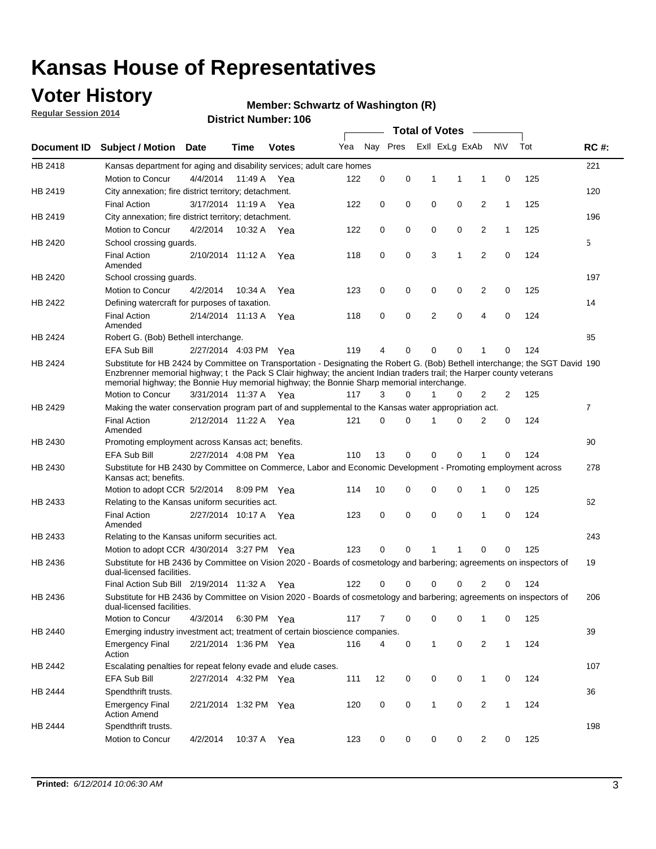### **Voter History**

**Regular Session 2014**

#### **Member: Schwartz of Washington (R)**

|             |                                                                                                                                                                                                                                                                                                                                                      |                       |             | <b>DISTRICT MAILINGL. 100</b> |     |          |          |              | Total of Votes –        |                |                |     |                |
|-------------|------------------------------------------------------------------------------------------------------------------------------------------------------------------------------------------------------------------------------------------------------------------------------------------------------------------------------------------------------|-----------------------|-------------|-------------------------------|-----|----------|----------|--------------|-------------------------|----------------|----------------|-----|----------------|
| Document ID | <b>Subject / Motion</b>                                                                                                                                                                                                                                                                                                                              | Date                  | Time        | <b>Votes</b>                  | Yea |          |          |              | Nay Pres ExII ExLg ExAb |                | <b>NV</b>      | Tot | <b>RC#:</b>    |
| HB 2418     | Kansas department for aging and disability services; adult care homes                                                                                                                                                                                                                                                                                |                       |             |                               |     |          |          |              |                         |                |                |     | 221            |
|             | Motion to Concur                                                                                                                                                                                                                                                                                                                                     | 4/4/2014              | 11:49 A     | Yea                           | 122 | 0        | 0        | 1            | 1                       | 1              | 0              | 125 |                |
| HB 2419     | City annexation; fire district territory; detachment.                                                                                                                                                                                                                                                                                                |                       |             |                               |     |          |          |              |                         |                |                |     | 120            |
|             | <b>Final Action</b>                                                                                                                                                                                                                                                                                                                                  | 3/17/2014 11:19 A     |             | Yea                           | 122 | 0        | 0        | 0            | 0                       | 2              | 1              | 125 |                |
| HB 2419     | City annexation; fire district territory; detachment.                                                                                                                                                                                                                                                                                                |                       |             |                               |     |          |          |              |                         |                |                |     | 196            |
|             | Motion to Concur                                                                                                                                                                                                                                                                                                                                     | 4/2/2014              | 10:32 A     | Yea                           | 122 | 0        | 0        | 0            | 0                       | 2              | $\mathbf{1}$   | 125 |                |
| HB 2420     | School crossing guards.                                                                                                                                                                                                                                                                                                                              |                       |             |                               |     |          |          |              |                         |                |                |     | 5              |
|             | <b>Final Action</b><br>Amended                                                                                                                                                                                                                                                                                                                       | 2/10/2014 11:12 A     |             | Yea                           | 118 | 0        | 0        | 3            | 1                       | $\overline{2}$ | 0              | 124 |                |
| HB 2420     | School crossing guards.                                                                                                                                                                                                                                                                                                                              |                       |             |                               |     |          |          |              |                         |                |                |     | 197            |
|             | Motion to Concur                                                                                                                                                                                                                                                                                                                                     | 4/2/2014              | 10:34 A     | Yea                           | 123 | 0        | 0        | 0            | 0                       | 2              | 0              | 125 |                |
| HB 2422     | Defining watercraft for purposes of taxation.                                                                                                                                                                                                                                                                                                        |                       |             |                               |     |          |          |              |                         |                |                |     | 14             |
|             | <b>Final Action</b><br>Amended                                                                                                                                                                                                                                                                                                                       | 2/14/2014 11:13 A     |             | Yea                           | 118 | 0        | 0        |              | 2<br>0                  | 4              | 0              | 124 |                |
| HB 2424     | Robert G. (Bob) Bethell interchange.                                                                                                                                                                                                                                                                                                                 |                       |             |                               |     |          |          |              |                         |                |                |     | 85             |
|             | EFA Sub Bill                                                                                                                                                                                                                                                                                                                                         | 2/27/2014 4:03 PM Yea |             |                               | 119 | 4        | 0        | 0            | 0                       | 1              | 0              | 124 |                |
| HB 2424     | Substitute for HB 2424 by Committee on Transportation - Designating the Robert G. (Bob) Bethell interchange; the SGT David 190<br>Enzbrenner memorial highway; t the Pack S Clair highway; the ancient Indian traders trail; the Harper county veterans<br>memorial highway; the Bonnie Huy memorial highway; the Bonnie Sharp memorial interchange. |                       |             |                               |     |          |          |              |                         |                |                |     |                |
|             | Motion to Concur                                                                                                                                                                                                                                                                                                                                     | 3/31/2014 11:37 A Yea |             |                               | 117 | 3        | $\Omega$ | 1            | 0                       | 2              | $\overline{2}$ | 125 |                |
| HB 2429     | Making the water conservation program part of and supplemental to the Kansas water appropriation act.                                                                                                                                                                                                                                                |                       |             |                               |     |          |          |              |                         |                |                |     | $\overline{7}$ |
|             | <b>Final Action</b><br>Amended                                                                                                                                                                                                                                                                                                                       | 2/12/2014 11:22 A Yea |             |                               | 121 | $\Omega$ | 0        | 1            | 0                       | 2              | 0              | 124 |                |
| HB 2430     | Promoting employment across Kansas act; benefits.                                                                                                                                                                                                                                                                                                    |                       |             |                               |     |          |          |              |                         |                |                |     | 90             |
|             | <b>EFA Sub Bill</b>                                                                                                                                                                                                                                                                                                                                  | 2/27/2014 4:08 PM Yea |             |                               | 110 | 13       | 0        | 0            | 0                       |                | 0              | 124 |                |
| HB 2430     | Substitute for HB 2430 by Committee on Commerce, Labor and Economic Development - Promoting employment across<br>Kansas act; benefits.                                                                                                                                                                                                               |                       |             |                               |     |          |          |              |                         |                |                |     | 278            |
|             | Motion to adopt CCR 5/2/2014                                                                                                                                                                                                                                                                                                                         |                       | 8:09 PM Yea |                               | 114 | 10       | 0        | 0            | 0                       | 1              | 0              | 125 |                |
| HB 2433     | Relating to the Kansas uniform securities act.                                                                                                                                                                                                                                                                                                       |                       |             |                               |     |          |          |              |                         |                |                |     | 62             |
|             | <b>Final Action</b><br>Amended                                                                                                                                                                                                                                                                                                                       | 2/27/2014 10:17 A Yea |             |                               | 123 | 0        | 0        | $\mathbf 0$  | 0                       | 1              | $\mathbf 0$    | 124 |                |
| HB 2433     | Relating to the Kansas uniform securities act.                                                                                                                                                                                                                                                                                                       |                       |             |                               |     |          |          |              |                         |                |                |     | 243            |
|             | Motion to adopt CCR 4/30/2014 3:27 PM Yea                                                                                                                                                                                                                                                                                                            |                       |             |                               | 123 | $\Omega$ | $\Omega$ | 1            | 1                       | 0              | 0              | 125 |                |
| HB 2436     | Substitute for HB 2436 by Committee on Vision 2020 - Boards of cosmetology and barbering; agreements on inspectors of<br>dual-licensed facilities.                                                                                                                                                                                                   |                       |             |                               |     |          |          |              |                         |                |                |     | 19             |
|             | Final Action Sub Bill 2/19/2014 11:32 A                                                                                                                                                                                                                                                                                                              |                       |             | Yea                           | 122 |          | 0        | 0            | 0                       | 2              | 0              | 124 |                |
| HB 2436     | Substitute for HB 2436 by Committee on Vision 2020 - Boards of cosmetology and barbering; agreements on inspectors of<br>dual-licensed facilities.                                                                                                                                                                                                   |                       |             |                               |     |          |          |              |                         |                |                |     | 206            |
|             | Motion to Concur                                                                                                                                                                                                                                                                                                                                     | 4/3/2014              | 6:30 PM Yea |                               | 117 | 7        | 0        |              | 0<br>0                  | 1              | 0              | 125 |                |
| HB 2440     | Emerging industry investment act; treatment of certain bioscience companies.                                                                                                                                                                                                                                                                         |                       |             |                               |     |          |          |              |                         |                |                |     | 39             |
|             | <b>Emergency Final</b><br>Action                                                                                                                                                                                                                                                                                                                     | 2/21/2014 1:36 PM Yea |             |                               | 116 | 4        | 0        |              | 1<br>$\mathbf 0$        | $\overline{2}$ | $\mathbf{1}$   | 124 |                |
| HB 2442     | Escalating penalties for repeat felony evade and elude cases.                                                                                                                                                                                                                                                                                        |                       |             |                               |     |          |          |              |                         |                |                |     | 107            |
|             | EFA Sub Bill                                                                                                                                                                                                                                                                                                                                         | 2/27/2014 4:32 PM Yea |             |                               | 111 | 12       | 0        | 0            | 0                       | $\mathbf{1}$   | 0              | 124 |                |
| HB 2444     | Spendthrift trusts.                                                                                                                                                                                                                                                                                                                                  |                       |             |                               |     |          |          |              |                         |                |                |     | 36             |
|             | <b>Emergency Final</b><br><b>Action Amend</b>                                                                                                                                                                                                                                                                                                        | 2/21/2014 1:32 PM Yea |             |                               | 120 | 0        | 0        | $\mathbf{1}$ | 0                       | $\overline{c}$ | $\mathbf{1}$   | 124 |                |
| HB 2444     | Spendthrift trusts.                                                                                                                                                                                                                                                                                                                                  |                       |             |                               |     |          |          |              |                         |                |                |     | 198            |
|             | Motion to Concur                                                                                                                                                                                                                                                                                                                                     | 4/2/2014              | 10:37 A Yea |                               | 123 | 0        | 0        | 0            | 0                       | $\overline{2}$ | 0              | 125 |                |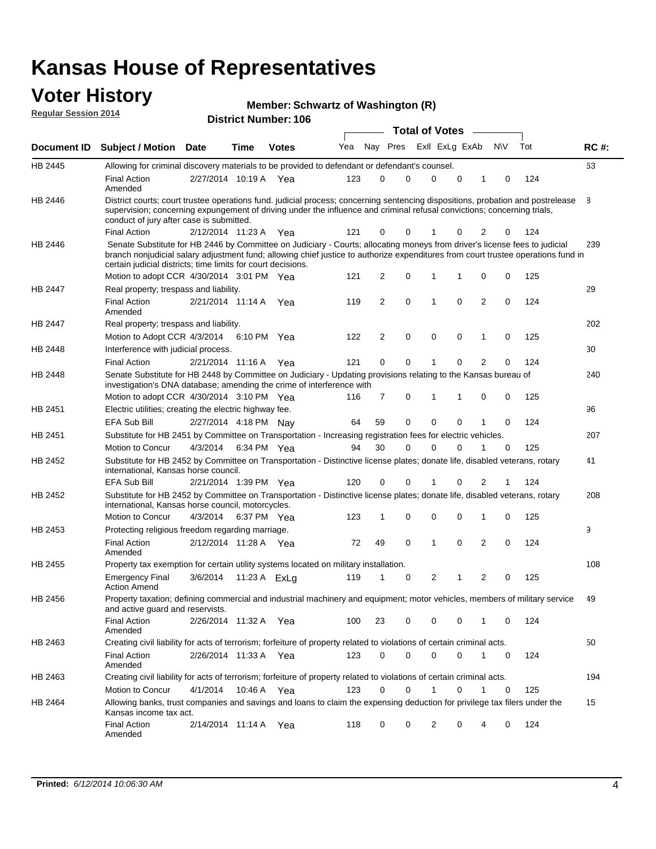### **Voter History Regular Session 2014**

#### **Member: Schwartz of Washington (R)**

|                |                                                                                                                                                                                                                                                                                                                                 |                       |      |              |     |                |          |   | <b>Total of Votes</b> |   |                |             |     |             |
|----------------|---------------------------------------------------------------------------------------------------------------------------------------------------------------------------------------------------------------------------------------------------------------------------------------------------------------------------------|-----------------------|------|--------------|-----|----------------|----------|---|-----------------------|---|----------------|-------------|-----|-------------|
|                | Document ID Subject / Motion Date                                                                                                                                                                                                                                                                                               |                       | Time | <b>Votes</b> | Yea |                | Nay Pres |   | Exll ExLg ExAb        |   |                | <b>NV</b>   | Tot | <b>RC#:</b> |
| HB 2445        | Allowing for criminal discovery materials to be provided to defendant or defendant's counsel.                                                                                                                                                                                                                                   |                       |      |              |     |                |          |   |                       |   |                |             |     | 63          |
|                | <b>Final Action</b><br>Amended                                                                                                                                                                                                                                                                                                  | 2/27/2014 10:19 A Yea |      |              | 123 | 0              |          | 0 | 0                     | 0 | 1              | 0           | 124 |             |
| HB 2446        | District courts; court trustee operations fund. judicial process; concerning sentencing dispositions, probation and postrelease<br>supervision; concerning expungement of driving under the influence and criminal refusal convictions; concerning trials,<br>conduct of jury after case is submitted.                          |                       |      |              |     |                |          |   |                       |   |                |             |     | 8           |
|                | <b>Final Action</b>                                                                                                                                                                                                                                                                                                             | 2/12/2014 11:23 A Yea |      |              | 121 | 0              |          | 0 | 1                     | 0 | 2              | 0           | 124 |             |
| <b>HB 2446</b> | Senate Substitute for HB 2446 by Committee on Judiciary - Courts; allocating moneys from driver's license fees to judicial<br>branch nonjudicial salary adjustment fund; allowing chief justice to authorize expenditures from court trustee operations fund in<br>certain judicial districts; time limits for court decisions. |                       |      |              |     |                |          |   |                       |   |                |             |     | 239         |
|                | Motion to adopt CCR 4/30/2014 3:01 PM Yea                                                                                                                                                                                                                                                                                       |                       |      |              | 121 | 2              | 0        |   | 1                     | 1 | 0              | 0           | 125 |             |
| <b>HB 2447</b> | Real property; trespass and liability.                                                                                                                                                                                                                                                                                          |                       |      |              |     |                |          |   |                       |   |                |             |     | 29          |
|                | <b>Final Action</b><br>Amended                                                                                                                                                                                                                                                                                                  | 2/21/2014 11:14 A Yea |      |              | 119 | 2              |          | 0 | 1                     | 0 | $\overline{2}$ | 0           | 124 |             |
| HB 2447        | Real property; trespass and liability.                                                                                                                                                                                                                                                                                          |                       |      |              |     |                |          |   |                       |   |                |             |     | 202         |
|                | Motion to Adopt CCR 4/3/2014                                                                                                                                                                                                                                                                                                    |                       |      | 6:10 PM Yea  | 122 | $\overline{2}$ | 0        |   | 0                     | 0 | 1              | 0           | 125 |             |
| HB 2448        | Interference with judicial process.                                                                                                                                                                                                                                                                                             |                       |      |              |     |                |          |   |                       |   |                |             |     | 30          |
|                | <b>Final Action</b>                                                                                                                                                                                                                                                                                                             | 2/21/2014 11:16 A Yea |      |              | 121 | 0              |          | 0 | 1                     | 0 | $\overline{2}$ | 0           | 124 |             |
| <b>HB 2448</b> | Senate Substitute for HB 2448 by Committee on Judiciary - Updating provisions relating to the Kansas bureau of<br>investigation's DNA database; amending the crime of interference with                                                                                                                                         |                       |      |              |     |                |          |   |                       |   |                |             |     | 240         |
|                | Motion to adopt CCR 4/30/2014 3:10 PM Yea                                                                                                                                                                                                                                                                                       |                       |      |              | 116 | $\overline{7}$ | 0        |   | 1                     | 1 | 0              | 0           | 125 |             |
| HB 2451        | Electric utilities; creating the electric highway fee.                                                                                                                                                                                                                                                                          |                       |      |              |     |                |          |   |                       |   |                |             |     | 96          |
|                | <b>EFA Sub Bill</b>                                                                                                                                                                                                                                                                                                             | 2/27/2014 4:18 PM Nay |      |              | 64  | 59             | 0        |   | 0                     | 0 |                | 0           | 124 |             |
| HB 2451        | Substitute for HB 2451 by Committee on Transportation - Increasing registration fees for electric vehicles.                                                                                                                                                                                                                     |                       |      |              |     |                |          |   |                       |   |                |             |     | 207         |
|                | Motion to Concur                                                                                                                                                                                                                                                                                                                | 4/3/2014              |      | 6:34 PM Yea  | 94  | 30             | 0        |   | $\Omega$              | 0 |                | $\mathbf 0$ | 125 |             |
| HB 2452        | Substitute for HB 2452 by Committee on Transportation - Distinctive license plates; donate life, disabled veterans, rotary<br>international, Kansas horse council.                                                                                                                                                              |                       |      |              |     |                |          |   |                       |   |                |             |     | 41          |
|                | EFA Sub Bill                                                                                                                                                                                                                                                                                                                    | 2/21/2014 1:39 PM Yea |      |              | 120 | 0              |          | 0 |                       | 0 | 2              |             | 124 |             |
| HB 2452        | Substitute for HB 2452 by Committee on Transportation - Distinctive license plates; donate life, disabled veterans, rotary<br>international, Kansas horse council, motorcycles.                                                                                                                                                 |                       |      |              |     |                |          |   |                       |   |                |             |     | 208         |
|                | Motion to Concur                                                                                                                                                                                                                                                                                                                | 4/3/2014              |      | 6:37 PM Yea  | 123 | 1              | 0        |   | $\mathbf 0$           | 0 | 1              | 0           | 125 |             |
| HB 2453        | Protecting religious freedom regarding marriage.                                                                                                                                                                                                                                                                                |                       |      |              |     |                |          |   |                       |   |                |             |     | 9           |
|                | <b>Final Action</b><br>Amended                                                                                                                                                                                                                                                                                                  | 2/12/2014 11:28 A Yea |      |              | 72  | 49             | 0        |   | 1                     | 0 | $\overline{2}$ | $\Omega$    | 124 |             |
| HB 2455        | Property tax exemption for certain utility systems located on military installation.                                                                                                                                                                                                                                            |                       |      |              |     |                |          |   |                       |   |                |             |     | 108         |
|                | <b>Emergency Final</b><br><b>Action Amend</b>                                                                                                                                                                                                                                                                                   | 3/6/2014              |      | 11:23 A ExLg | 119 | 1              | 0        |   | 2                     | 1 | $\overline{2}$ | 0           | 125 |             |
| HB 2456        | Property taxation; defining commercial and industrial machinery and equipment; motor vehicles, members of military service<br>and active guard and reservists.                                                                                                                                                                  |                       |      |              |     |                |          |   |                       |   |                |             |     | 49          |
|                | <b>Final Action</b><br>Amended                                                                                                                                                                                                                                                                                                  | 2/26/2014 11:32 A Yea |      |              | 100 | 23             |          | 0 | 0                     | 0 | 1              | 0           | 124 |             |
| HB 2463        | Creating civil liability for acts of terrorism; forfeiture of property related to violations of certain criminal acts.                                                                                                                                                                                                          |                       |      |              |     |                |          |   |                       |   |                |             |     | 50          |
|                | <b>Final Action</b><br>Amended                                                                                                                                                                                                                                                                                                  | 2/26/2014 11:33 A Yea |      |              | 123 | 0              |          | 0 | 0                     | 0 | 1              | 0           | 124 |             |
| HB 2463        | Creating civil liability for acts of terrorism; forfeiture of property related to violations of certain criminal acts.                                                                                                                                                                                                          |                       |      |              |     |                |          |   |                       |   |                |             |     | 194         |
|                | Motion to Concur                                                                                                                                                                                                                                                                                                                | 4/1/2014              |      | 10:46 A Yea  | 123 | 0              |          | 0 | 1                     | 0 | 1              | 0           | 125 |             |
| HB 2464        | Allowing banks, trust companies and savings and loans to claim the expensing deduction for privilege tax filers under the<br>Kansas income tax act.                                                                                                                                                                             |                       |      |              |     |                |          |   |                       |   |                |             |     | 15          |
|                | <b>Final Action</b><br>Amended                                                                                                                                                                                                                                                                                                  | 2/14/2014 11:14 A Yea |      |              | 118 | 0              |          | 0 | 2                     | 0 | 4              | 0           | 124 |             |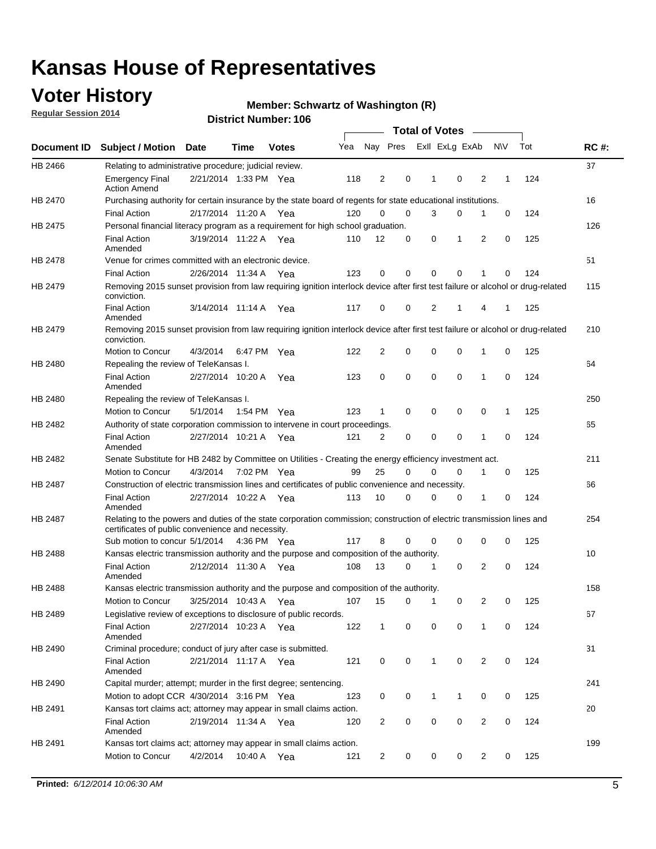### **Voter History**

**Regular Session 2014**

#### **Member: Schwartz of Washington (R)**

|         |                                                                                                                                                                             |                       |             |              |     |              |   | <b>Total of Votes</b> |             |                |             |     |             |
|---------|-----------------------------------------------------------------------------------------------------------------------------------------------------------------------------|-----------------------|-------------|--------------|-----|--------------|---|-----------------------|-------------|----------------|-------------|-----|-------------|
|         | Document ID Subject / Motion Date                                                                                                                                           |                       | Time        | <b>Votes</b> | Yea | Nay Pres     |   | Exll ExLg ExAb        |             |                | <b>NV</b>   | Tot | <b>RC#:</b> |
| HB 2466 | Relating to administrative procedure; judicial review.                                                                                                                      |                       |             |              |     |              |   |                       |             |                |             |     | 37          |
|         | <b>Emergency Final</b><br><b>Action Amend</b>                                                                                                                               | 2/21/2014 1:33 PM Yea |             |              | 118 | 2            | 0 | 1                     | $\mathbf 0$ | 2              | 1           | 124 |             |
| HB 2470 | Purchasing authority for certain insurance by the state board of regents for state educational institutions.                                                                |                       |             |              |     |              |   |                       |             |                |             |     | 16          |
|         | <b>Final Action</b>                                                                                                                                                         | 2/17/2014 11:20 A Yea |             |              | 120 | 0            | 0 | 3                     | 0           | 1              | 0           | 124 |             |
| HB 2475 | Personal financial literacy program as a requirement for high school graduation.                                                                                            |                       |             |              |     |              |   |                       |             |                |             |     | 126         |
|         | <b>Final Action</b><br>Amended                                                                                                                                              | 3/19/2014 11:22 A Yea |             |              | 110 | 12           | 0 | 0                     | 1           | 2              | 0           | 125 |             |
| HB 2478 | Venue for crimes committed with an electronic device.                                                                                                                       |                       |             |              |     |              |   |                       |             |                |             |     | 51          |
|         | <b>Final Action</b>                                                                                                                                                         | 2/26/2014 11:34 A     |             | Yea          | 123 | 0            | 0 | 0                     | $\mathbf 0$ | 1              | $\mathbf 0$ | 124 |             |
| HB 2479 | Removing 2015 sunset provision from law requiring ignition interlock device after first test failure or alcohol or drug-related<br>conviction.                              |                       |             |              |     |              |   |                       |             |                |             |     | 115         |
|         | <b>Final Action</b><br>Amended                                                                                                                                              | 3/14/2014 11:14 A     |             | Yea          | 117 | 0            | 0 | 2                     | 1           | 4              | 1           | 125 |             |
| HB 2479 | Removing 2015 sunset provision from law requiring ignition interlock device after first test failure or alcohol or drug-related<br>conviction.                              |                       |             |              |     |              |   |                       |             |                |             |     | 210         |
|         | Motion to Concur                                                                                                                                                            | 4/3/2014              |             | 6:47 PM Yea  | 122 | 2            | 0 | 0                     | 0           | 1              | 0           | 125 |             |
| HB 2480 | Repealing the review of TeleKansas I.                                                                                                                                       |                       |             |              |     |              |   |                       |             |                |             |     | 64          |
|         | <b>Final Action</b><br>Amended                                                                                                                                              | 2/27/2014 10:20 A     |             | Yea          | 123 | 0            | 0 | 0                     | 0           | 1              | 0           | 124 |             |
| HB 2480 | Repealing the review of TeleKansas I.                                                                                                                                       |                       |             |              |     |              |   |                       |             |                |             |     | 250         |
|         | Motion to Concur                                                                                                                                                            | 5/1/2014              | 1:54 PM Yea |              | 123 | $\mathbf 1$  | 0 | 0                     | 0           | 0              | 1           | 125 |             |
| HB 2482 | Authority of state corporation commission to intervene in court proceedings.                                                                                                |                       |             |              |     |              |   |                       |             |                |             |     | 65          |
|         | <b>Final Action</b><br>Amended                                                                                                                                              | 2/27/2014 10:21 A     |             | Yea          | 121 | 2            | 0 | $\mathbf 0$           | 0           | 1              | $\mathbf 0$ | 124 |             |
| HB 2482 | Senate Substitute for HB 2482 by Committee on Utilities - Creating the energy efficiency investment act.                                                                    |                       |             |              |     |              |   |                       |             |                |             |     | 211         |
|         | Motion to Concur                                                                                                                                                            | 4/3/2014 7:02 PM Yea  |             |              | 99  | 25           | 0 | 0                     | 0           | 1              | 0           | 125 |             |
| HB 2487 | Construction of electric transmission lines and certificates of public convenience and necessity.                                                                           |                       |             |              |     |              |   |                       |             |                |             |     | 66          |
|         | <b>Final Action</b><br>Amended                                                                                                                                              | 2/27/2014 10:22 A Yea |             |              | 113 | 10           | 0 | 0                     | 0           | 1              | 0           | 124 |             |
| HB 2487 | Relating to the powers and duties of the state corporation commission; construction of electric transmission lines and<br>certificates of public convenience and necessity. |                       |             |              |     |              |   |                       |             |                |             |     | 254         |
|         | Sub motion to concur 5/1/2014                                                                                                                                               |                       |             | 4:36 PM Yea  | 117 | 8            | 0 | 0                     | 0           | 0              | 0           | 125 |             |
| HB 2488 | Kansas electric transmission authority and the purpose and composition of the authority.                                                                                    |                       |             |              |     |              |   |                       |             |                |             |     | 10          |
|         | <b>Final Action</b><br>Amended                                                                                                                                              | 2/12/2014 11:30 A Yea |             |              | 108 | 13           | 0 | 1                     | 0           | 2              | 0           | 124 |             |
| HB 2488 | Kansas electric transmission authority and the purpose and composition of the authority.                                                                                    |                       |             |              |     |              |   |                       |             |                |             |     | 158         |
|         | <b>Motion to Concur</b>                                                                                                                                                     | 3/25/2014 10:43 A     |             | Yea          | 107 | 15           | 0 | 1                     | 0           | 2              | 0           | 125 |             |
| HB 2489 | Legislative review of exceptions to disclosure of public records.                                                                                                           |                       |             |              |     |              |   |                       |             |                |             |     | 67          |
|         | <b>Final Action</b><br>Amended                                                                                                                                              | 2/27/2014 10:23 A Yea |             |              | 122 | $\mathbf{1}$ | 0 | 0                     | $\mathbf 0$ | 1              | 0           | 124 |             |
| HB 2490 | Criminal procedure; conduct of jury after case is submitted.                                                                                                                |                       |             |              |     |              |   |                       |             |                |             |     | 31          |
|         | <b>Final Action</b><br>Amended                                                                                                                                              | 2/21/2014 11:17 A Yea |             |              | 121 | 0            | 0 | 1                     | 0           | 2              | 0           | 124 |             |
| HB 2490 | Capital murder; attempt; murder in the first degree; sentencing.                                                                                                            |                       |             |              |     |              |   |                       |             |                |             |     | 241         |
|         | Motion to adopt CCR 4/30/2014 3:16 PM Yea                                                                                                                                   |                       |             |              | 123 | 0            | 0 | 1                     | 1           | 0              | 0           | 125 |             |
| HB 2491 | Kansas tort claims act; attorney may appear in small claims action.                                                                                                         |                       |             |              |     |              |   |                       |             |                |             |     | 20          |
|         | <b>Final Action</b><br>Amended                                                                                                                                              | 2/19/2014 11:34 A Yea |             |              | 120 | 2            | 0 | 0                     | 0           | $\overline{2}$ | 0           | 124 |             |
| HB 2491 | Kansas tort claims act; attorney may appear in small claims action.                                                                                                         |                       |             |              |     |              |   |                       |             |                |             |     | 199         |
|         | Motion to Concur                                                                                                                                                            | 4/2/2014              |             | 10:40 A Yea  | 121 | 2            | 0 | 0                     | 0           | $\overline{2}$ | 0           | 125 |             |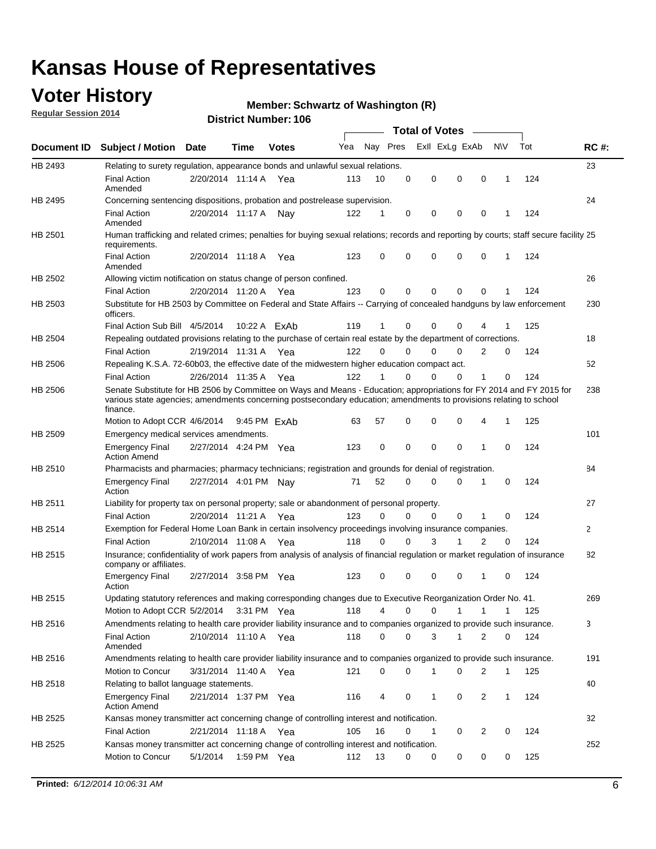### **Voter History**

**Regular Session 2014**

#### **Member: Schwartz of Washington (R)**

|         |                                                                                                                                                                                                                                                        |                       |              |              |     |             |             | <b>Total of Votes</b> |             |              |              |     |             |
|---------|--------------------------------------------------------------------------------------------------------------------------------------------------------------------------------------------------------------------------------------------------------|-----------------------|--------------|--------------|-----|-------------|-------------|-----------------------|-------------|--------------|--------------|-----|-------------|
|         | Document ID Subject / Motion Date                                                                                                                                                                                                                      |                       | Time         | <b>Votes</b> | Yea | Nay Pres    |             | Exll ExLg ExAb        |             |              | <b>NV</b>    | Tot | <b>RC#:</b> |
| HB 2493 | Relating to surety regulation, appearance bonds and unlawful sexual relations.                                                                                                                                                                         |                       |              |              |     |             |             |                       |             |              |              |     | 23          |
|         | <b>Final Action</b><br>Amended                                                                                                                                                                                                                         | 2/20/2014 11:14 A Yea |              |              | 113 | 10          | 0           | 0                     | $\mathbf 0$ | $\mathbf 0$  | 1            | 124 |             |
| HB 2495 | Concerning sentencing dispositions, probation and postrelease supervision.                                                                                                                                                                             |                       |              |              |     |             |             |                       |             |              |              |     | 24          |
|         | Final Action<br>Amended                                                                                                                                                                                                                                | 2/20/2014 11:17 A     |              | Nav          | 122 | 1           | 0           | 0                     | $\mathbf 0$ | 0            |              | 124 |             |
| HB 2501 | Human trafficking and related crimes; penalties for buying sexual relations; records and reporting by courts; staff secure facility 25<br>requirements.                                                                                                |                       |              |              |     |             |             |                       |             |              |              |     |             |
|         | <b>Final Action</b><br>Amended                                                                                                                                                                                                                         | 2/20/2014 11:18 A Yea |              |              | 123 | $\Omega$    | 0           | $\Omega$              | $\mathbf 0$ | $\Omega$     | 1            | 124 |             |
| HB 2502 | Allowing victim notification on status change of person confined.                                                                                                                                                                                      |                       |              |              |     |             |             |                       |             |              |              |     | 26          |
|         | Final Action                                                                                                                                                                                                                                           | 2/20/2014 11:20 A Yea |              |              | 123 | $\Omega$    | 0           | 0                     | 0           | $\Omega$     |              | 124 |             |
| HB 2503 | Substitute for HB 2503 by Committee on Federal and State Affairs -- Carrying of concealed handguns by law enforcement<br>officers.                                                                                                                     |                       |              |              |     |             |             |                       |             |              |              |     | 230         |
|         | Final Action Sub Bill 4/5/2014                                                                                                                                                                                                                         |                       |              | 10:22 A ExAb | 119 | 1           | 0           | $\Omega$              | $\Omega$    | 4            |              | 125 |             |
| HB 2504 | Repealing outdated provisions relating to the purchase of certain real estate by the department of corrections.                                                                                                                                        |                       |              |              |     |             |             |                       |             |              |              |     | 18          |
|         | <b>Final Action</b>                                                                                                                                                                                                                                    | 2/19/2014 11:31 A Yea |              |              | 122 | $\Omega$    | $\Omega$    | 0                     | $\Omega$    | 2            | 0            | 124 |             |
| HB 2506 | Repealing K.S.A. 72-60b03, the effective date of the midwestern higher education compact act.                                                                                                                                                          |                       |              |              |     |             |             |                       |             |              |              |     | 52          |
|         | <b>Final Action</b>                                                                                                                                                                                                                                    | 2/26/2014 11:35 A Yea |              |              | 122 | 1           | $\Omega$    | $\Omega$              | $\Omega$    | 1            | 0            | 124 |             |
| HB 2506 | Senate Substitute for HB 2506 by Committee on Ways and Means - Education; appropriations for FY 2014 and FY 2015 for<br>various state agencies; amendments concerning postsecondary education; amendments to provisions relating to school<br>finance. |                       |              |              |     |             |             |                       |             |              |              |     | 238         |
|         | Motion to Adopt CCR 4/6/2014                                                                                                                                                                                                                           |                       | 9:45 PM FxAb |              | 63  | 57          | 0           | $\mathbf 0$           | 0           | 4            | 1            | 125 |             |
| HB 2509 | Emergency medical services amendments.                                                                                                                                                                                                                 |                       |              |              |     |             |             |                       |             |              |              |     | 101         |
|         | Emergency Final<br><b>Action Amend</b>                                                                                                                                                                                                                 | 2/27/2014 4:24 PM Yea |              |              | 123 | $\mathbf 0$ | $\mathbf 0$ | $\mathbf 0$           | $\mathbf 0$ | 1            | 0            | 124 |             |
| HB 2510 | Pharmacists and pharmacies; pharmacy technicians; registration and grounds for denial of registration.                                                                                                                                                 |                       |              |              |     |             |             |                       |             |              |              |     | 84          |
|         | <b>Emergency Final</b><br>Action                                                                                                                                                                                                                       | 2/27/2014 4:01 PM Nay |              |              | 71  | 52          | 0           | $\Omega$              | $\Omega$    | 1            | $\Omega$     | 124 |             |
| HB 2511 | Liability for property tax on personal property; sale or abandonment of personal property.                                                                                                                                                             |                       |              |              |     |             |             |                       |             |              |              |     | 27          |
|         | <b>Final Action</b>                                                                                                                                                                                                                                    | 2/20/2014 11:21 A Yea |              |              | 123 | $\Omega$    | $\Omega$    | $\Omega$              | $\mathbf 0$ | 1            | 0            | 124 |             |
| HB 2514 | Exemption for Federal Home Loan Bank in certain insolvency proceedings involving insurance companies.                                                                                                                                                  |                       |              |              |     |             |             |                       |             |              |              |     | 2           |
|         | <b>Final Action</b>                                                                                                                                                                                                                                    | 2/10/2014 11:08 A Yea |              |              | 118 | $\Omega$    | 0           | 3                     | 1           | 2            | $\mathbf 0$  | 124 |             |
| HB 2515 | Insurance; confidentiality of work papers from analysis of analysis of financial regulation or market regulation of insurance<br>company or affiliates.                                                                                                |                       |              |              |     |             |             |                       |             |              |              |     | 82          |
|         | <b>Emergency Final</b><br>Action                                                                                                                                                                                                                       | 2/27/2014 3:58 PM Yea |              |              | 123 | 0           | 0           | $\mathbf 0$           | 0           | 1            | 0            | 124 |             |
| HB 2515 | Updating statutory references and making corresponding changes due to Executive Reorganization Order No. 41.                                                                                                                                           |                       |              |              |     |             |             |                       |             |              |              |     | 269         |
|         | Motion to Adopt CCR 5/2/2014 3:31 PM Yea                                                                                                                                                                                                               |                       |              |              | 118 | 4           | 0           | 0                     | 1           | $\mathbf{1}$ | $\mathbf{1}$ | 125 |             |
| HB 2516 | Amendments relating to health care provider liability insurance and to companies organized to provide such insurance.                                                                                                                                  |                       |              |              |     |             |             |                       |             |              |              |     | 3           |
|         | <b>Final Action</b><br>Amended                                                                                                                                                                                                                         | 2/10/2014 11:10 A Yea |              |              | 118 | 0           | 0           | 3                     | 1           | 2            | 0            | 124 |             |
| HB 2516 | Amendments relating to health care provider liability insurance and to companies organized to provide such insurance.                                                                                                                                  |                       |              |              |     |             |             |                       |             |              |              |     | 191         |
|         | Motion to Concur                                                                                                                                                                                                                                       | 3/31/2014 11:40 A Yea |              |              | 121 | 0           | 0           | 1                     | 0           | 2            | 1            | 125 |             |
| HB 2518 | Relating to ballot language statements.                                                                                                                                                                                                                |                       |              |              |     |             |             |                       |             |              |              |     | 40          |
|         | Emergency Final<br><b>Action Amend</b>                                                                                                                                                                                                                 | 2/21/2014 1:37 PM Yea |              |              | 116 | 4           | 0           | 1                     | 0           | 2            | 1            | 124 |             |
| HB 2525 | Kansas money transmitter act concerning change of controlling interest and notification.                                                                                                                                                               |                       |              |              |     |             |             |                       |             |              |              |     | 32          |
|         | <b>Final Action</b>                                                                                                                                                                                                                                    | 2/21/2014 11:18 A Yea |              |              | 105 | 16          | 0           | 1                     | 0           | 2            | 0            | 124 |             |
| HB 2525 | Kansas money transmitter act concerning change of controlling interest and notification.                                                                                                                                                               |                       |              |              |     |             |             |                       |             |              |              |     | 252         |
|         | Motion to Concur                                                                                                                                                                                                                                       | 5/1/2014              |              | 1:59 PM Yea  | 112 | 13          | 0           | 0                     | 0           | 0            | 0            | 125 |             |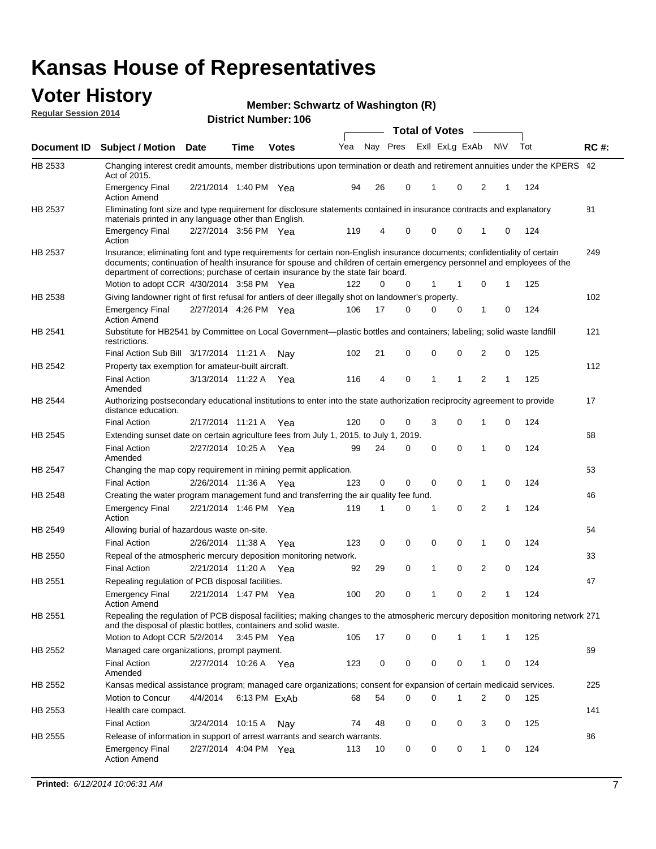### **Voter History Regular Session 2014**

**Member: Schwartz of Washington (R)** 

|                |                                                                                                                                                                                                                                                                                                                                           |                       |      | DISTICT MAILDEL TOO |     |    |          | <b>Total of Votes</b> |              |                |                |             |     |             |
|----------------|-------------------------------------------------------------------------------------------------------------------------------------------------------------------------------------------------------------------------------------------------------------------------------------------------------------------------------------------|-----------------------|------|---------------------|-----|----|----------|-----------------------|--------------|----------------|----------------|-------------|-----|-------------|
| Document ID    | <b>Subject / Motion</b>                                                                                                                                                                                                                                                                                                                   | <b>Date</b>           | Time | <b>Votes</b>        | Yea |    | Nay Pres |                       |              | Exll ExLg ExAb | <b>NV</b>      |             | Tot | <b>RC#:</b> |
| HB 2533        | Changing interest credit amounts, member distributions upon termination or death and retirement annuities under the KPERS 42<br>Act of 2015.                                                                                                                                                                                              |                       |      |                     |     |    |          |                       |              |                |                |             |     |             |
|                | <b>Emergency Final</b><br><b>Action Amend</b>                                                                                                                                                                                                                                                                                             | 2/21/2014 1:40 PM Yea |      |                     | 94  | 26 | 0        |                       | 1            | 0              | 2              | 1           | 124 |             |
| HB 2537        | Eliminating font size and type requirement for disclosure statements contained in insurance contracts and explanatory<br>materials printed in any language other than English.                                                                                                                                                            |                       |      |                     |     |    |          |                       |              |                |                |             |     | 81          |
|                | <b>Emergency Final</b><br>Action                                                                                                                                                                                                                                                                                                          | 2/27/2014 3:56 PM Yea |      |                     | 119 | 4  | 0        |                       | $\mathbf 0$  | 0              | 1              | 0           | 124 |             |
| HB 2537        | Insurance; eliminating font and type requirements for certain non-English insurance documents; confidentiality of certain<br>documents; continuation of health insurance for spouse and children of certain emergency personnel and employees of the<br>department of corrections; purchase of certain insurance by the state fair board. |                       |      |                     |     |    |          |                       |              |                |                |             |     | 249         |
|                | Motion to adopt CCR 4/30/2014 3:58 PM Yea                                                                                                                                                                                                                                                                                                 |                       |      |                     | 122 | 0  | 0        |                       | 1            | $\mathbf 1$    | 0              | 1           | 125 |             |
| HB 2538        | Giving landowner right of first refusal for antlers of deer illegally shot on landowner's property.                                                                                                                                                                                                                                       |                       |      |                     |     |    |          |                       |              |                |                |             |     | 102         |
|                | <b>Emergency Final</b><br><b>Action Amend</b>                                                                                                                                                                                                                                                                                             | 2/27/2014 4:26 PM Yea |      |                     | 106 | 17 | 0        |                       | 0            | 0              | 1              | 0           | 124 |             |
| HB 2541        | Substitute for HB2541 by Committee on Local Government—plastic bottles and containers; labeling; solid waste landfill<br>restrictions.                                                                                                                                                                                                    |                       |      |                     |     |    |          |                       |              |                |                |             |     | 121         |
|                | Final Action Sub Bill 3/17/2014 11:21 A                                                                                                                                                                                                                                                                                                   |                       |      | Nav                 | 102 | 21 | 0        |                       | $\mathbf 0$  | 0              | 2              | 0           | 125 |             |
| HB 2542        | Property tax exemption for amateur-built aircraft.                                                                                                                                                                                                                                                                                        |                       |      |                     |     |    |          |                       |              |                |                |             |     | 112         |
|                | <b>Final Action</b><br>Amended                                                                                                                                                                                                                                                                                                            | 3/13/2014 11:22 A Yea |      |                     | 116 | 4  | 0        |                       | $\mathbf{1}$ | 1              | $\overline{2}$ | 1           | 125 |             |
| HB 2544        | Authorizing postsecondary educational institutions to enter into the state authorization reciprocity agreement to provide<br>distance education.                                                                                                                                                                                          |                       |      |                     |     |    |          |                       |              |                |                |             |     | 17          |
|                | <b>Final Action</b>                                                                                                                                                                                                                                                                                                                       | 2/17/2014 11:21 A Yea |      |                     | 120 | 0  | 0        |                       | 3            | $\Omega$       | 1              | 0           | 124 |             |
| HB 2545        | Extending sunset date on certain agriculture fees from July 1, 2015, to July 1, 2019.                                                                                                                                                                                                                                                     |                       |      |                     |     |    |          |                       |              |                |                |             |     | 68          |
|                | <b>Final Action</b><br>Amended                                                                                                                                                                                                                                                                                                            | 2/27/2014 10:25 A Yea |      |                     | 99  | 24 | 0        |                       | 0            | $\Omega$       | 1              | $\Omega$    | 124 |             |
| <b>HB 2547</b> | Changing the map copy requirement in mining permit application.                                                                                                                                                                                                                                                                           |                       |      |                     |     |    |          |                       |              |                |                |             |     | 53          |
|                | <b>Final Action</b>                                                                                                                                                                                                                                                                                                                       | 2/26/2014 11:36 A     |      | Yea                 | 123 | 0  | 0        |                       | 0            | 0              | 1              | 0           | 124 |             |
| HB 2548        | Creating the water program management fund and transferring the air quality fee fund.                                                                                                                                                                                                                                                     |                       |      |                     |     |    |          |                       |              |                |                |             |     | 46          |
|                | <b>Emergency Final</b><br>Action                                                                                                                                                                                                                                                                                                          | 2/21/2014 1:46 PM Yea |      |                     | 119 | 1  | 0        |                       | 1            | $\mathbf 0$    | 2              | 1           | 124 |             |
| HB 2549        | Allowing burial of hazardous waste on-site.                                                                                                                                                                                                                                                                                               |                       |      |                     |     |    |          |                       |              |                |                |             |     | 54          |
|                | <b>Final Action</b>                                                                                                                                                                                                                                                                                                                       | 2/26/2014 11:38 A     |      | Yea                 | 123 | 0  | 0        |                       | $\mathbf 0$  | 0              | 1              | 0           | 124 |             |
| HB 2550        | Repeal of the atmospheric mercury deposition monitoring network.                                                                                                                                                                                                                                                                          |                       |      |                     |     |    |          |                       |              |                |                |             |     | 33          |
|                | <b>Final Action</b>                                                                                                                                                                                                                                                                                                                       | 2/21/2014 11:20 A Yea |      |                     | 92  | 29 | 0        |                       | 1            | 0              | 2              | 0           | 124 |             |
| HB 2551        | Repealing regulation of PCB disposal facilities.                                                                                                                                                                                                                                                                                          |                       |      |                     |     |    |          |                       |              |                |                |             |     | 47          |
|                | <b>Emergency Final</b><br><b>Action Amend</b>                                                                                                                                                                                                                                                                                             | 2/21/2014 1:47 PM Yea |      |                     | 100 | 20 | 0        |                       | 1            | 0              | 2              | 1           | 124 |             |
| HB 2551        | Repealing the regulation of PCB disposal facilities; making changes to the atmospheric mercury deposition monitoring network 271<br>and the disposal of plastic bottles, containers and solid waste.                                                                                                                                      |                       |      |                     |     |    |          |                       |              |                |                |             |     |             |
|                | Motion to Adopt CCR 5/2/2014 3:45 PM Yea                                                                                                                                                                                                                                                                                                  |                       |      |                     | 105 | 17 | 0        |                       | 0            | 1              | 1              | $\mathbf 1$ | 125 |             |
| HB 2552        | Managed care organizations, prompt payment.                                                                                                                                                                                                                                                                                               |                       |      |                     |     |    |          |                       |              |                |                |             |     | 69          |
|                | <b>Final Action</b><br>Amended                                                                                                                                                                                                                                                                                                            | 2/27/2014 10:26 A Yea |      |                     | 123 | 0  | 0        |                       | 0            | 0              | 1              | 0           | 124 |             |
| HB 2552        | Kansas medical assistance program; managed care organizations; consent for expansion of certain medicaid services.                                                                                                                                                                                                                        |                       |      |                     |     |    |          |                       |              |                |                |             |     | 225         |
|                | Motion to Concur                                                                                                                                                                                                                                                                                                                          | 4/4/2014              |      | 6:13 PM ExAb        | 68  | 54 | 0        |                       | $\Omega$     | 1              | $\overline{2}$ | 0           | 125 |             |
| HB 2553        | Health care compact.                                                                                                                                                                                                                                                                                                                      |                       |      |                     |     |    |          |                       |              |                |                |             |     | 141         |
|                | <b>Final Action</b>                                                                                                                                                                                                                                                                                                                       | 3/24/2014 10:15 A     |      | Nav                 | 74  | 48 | 0        |                       | 0            | 0              | 3              | 0           | 125 |             |
| HB 2555        | Release of information in support of arrest warrants and search warrants.                                                                                                                                                                                                                                                                 |                       |      |                     |     |    |          |                       |              |                |                |             |     | 86          |
|                | <b>Emergency Final</b><br><b>Action Amend</b>                                                                                                                                                                                                                                                                                             | 2/27/2014 4:04 PM Yea |      |                     | 113 | 10 | 0        |                       | 0            | 0              | $\mathbf{1}$   | 0           | 124 |             |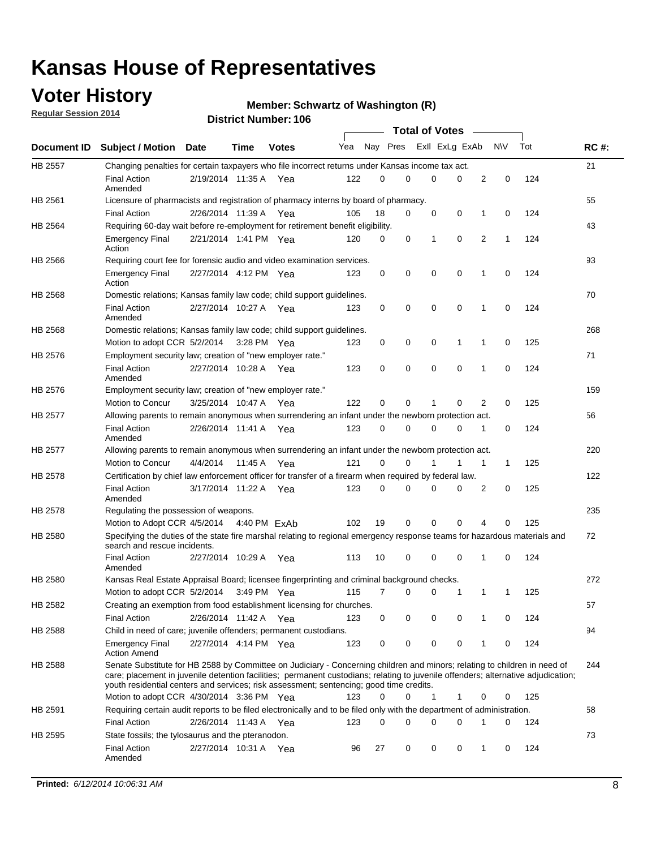### **Voter History**

**Regular Session 2014**

#### **Member: Schwartz of Washington (R)**

|         |                                                                                                                                                                                                                                                                                                                                                           |                       |             | <b>DISTRICT MAILINGL. 100</b> |     |                |   |             | <b>Total of Votes</b>   | $\sim$         |             |     |             |
|---------|-----------------------------------------------------------------------------------------------------------------------------------------------------------------------------------------------------------------------------------------------------------------------------------------------------------------------------------------------------------|-----------------------|-------------|-------------------------------|-----|----------------|---|-------------|-------------------------|----------------|-------------|-----|-------------|
|         | Document ID Subject / Motion                                                                                                                                                                                                                                                                                                                              | Date                  | <b>Time</b> | <b>Votes</b>                  | Yea |                |   |             | Nay Pres ExII ExLg ExAb |                | <b>NV</b>   | Tot | <b>RC#:</b> |
| HB 2557 | Changing penalties for certain taxpayers who file incorrect returns under Kansas income tax act.                                                                                                                                                                                                                                                          |                       |             |                               |     |                |   |             |                         |                |             |     | 21          |
|         | <b>Final Action</b><br>Amended                                                                                                                                                                                                                                                                                                                            | 2/19/2014 11:35 A Yea |             |                               | 122 | 0              | 0 | 0           | 0                       | 2              | $\mathbf 0$ | 124 |             |
| HB 2561 | Licensure of pharmacists and registration of pharmacy interns by board of pharmacy.                                                                                                                                                                                                                                                                       |                       |             |                               |     |                |   |             |                         |                |             |     | 55          |
|         | <b>Final Action</b>                                                                                                                                                                                                                                                                                                                                       | 2/26/2014 11:39 A     |             | Yea                           | 105 | 18             | 0 | 0           | 0                       | 1              | 0           | 124 |             |
| HB 2564 | Requiring 60-day wait before re-employment for retirement benefit eligibility.                                                                                                                                                                                                                                                                            |                       |             |                               |     |                |   |             |                         |                |             |     | 43          |
|         | <b>Emergency Final</b><br>Action                                                                                                                                                                                                                                                                                                                          | 2/21/2014 1:41 PM Yea |             |                               | 120 | 0              | 0 | 1           | 0                       | $\overline{2}$ | 1           | 124 |             |
| HB 2566 | Requiring court fee for forensic audio and video examination services.                                                                                                                                                                                                                                                                                    |                       |             |                               |     |                |   |             |                         |                |             |     | 93          |
|         | <b>Emergency Final</b><br>Action                                                                                                                                                                                                                                                                                                                          | 2/27/2014 4:12 PM Yea |             |                               | 123 | 0              | 0 | 0           | 0                       | 1              | 0           | 124 |             |
| HB 2568 | Domestic relations; Kansas family law code; child support guidelines.                                                                                                                                                                                                                                                                                     |                       |             |                               |     |                |   |             |                         |                |             |     | 70          |
|         | <b>Final Action</b><br>Amended                                                                                                                                                                                                                                                                                                                            | 2/27/2014 10:27 A Yea |             |                               | 123 | 0              | 0 | 0           | 0                       | 1              | 0           | 124 |             |
| HB 2568 | Domestic relations; Kansas family law code; child support guidelines.                                                                                                                                                                                                                                                                                     |                       |             |                               |     |                |   |             |                         |                |             |     | 268         |
|         | Motion to adopt CCR 5/2/2014                                                                                                                                                                                                                                                                                                                              |                       | 3:28 PM Yea |                               | 123 | 0              | 0 | 0           | 1                       | 1              | 0           | 125 |             |
| HB 2576 | Employment security law; creation of "new employer rate."                                                                                                                                                                                                                                                                                                 |                       |             |                               |     |                |   |             |                         |                |             |     | 71          |
|         | <b>Final Action</b><br>Amended                                                                                                                                                                                                                                                                                                                            | 2/27/2014 10:28 A     |             | Yea                           | 123 | 0              | 0 | $\mathbf 0$ | $\mathbf 0$             | 1              | $\mathbf 0$ | 124 |             |
| HB 2576 | Employment security law; creation of "new employer rate."                                                                                                                                                                                                                                                                                                 |                       |             |                               |     |                |   |             |                         |                |             |     | 159         |
|         | Motion to Concur                                                                                                                                                                                                                                                                                                                                          | 3/25/2014 10:47 A     |             | Yea                           | 122 | 0              | 0 | 1           | 0                       | 2              | 0           | 125 |             |
| HB 2577 | Allowing parents to remain anonymous when surrendering an infant under the newborn protection act.                                                                                                                                                                                                                                                        |                       |             |                               |     |                |   |             |                         |                |             |     | 56          |
|         | <b>Final Action</b><br>Amended                                                                                                                                                                                                                                                                                                                            | 2/26/2014 11:41 A     |             | Yea                           | 123 | $\mathbf 0$    | 0 | 0           | 0                       | 1              | 0           | 124 |             |
| HB 2577 | Allowing parents to remain anonymous when surrendering an infant under the newborn protection act.                                                                                                                                                                                                                                                        |                       |             |                               |     |                |   |             |                         |                |             |     | 220         |
|         | <b>Motion to Concur</b>                                                                                                                                                                                                                                                                                                                                   | 4/4/2014              | 11:45 A     | Yea                           | 121 | $\Omega$       | 0 |             | 1                       | $\mathbf{1}$   | 1           | 125 |             |
| HB 2578 | Certification by chief law enforcement officer for transfer of a firearm when required by federal law.                                                                                                                                                                                                                                                    |                       |             |                               |     |                |   |             |                         |                |             |     | 122         |
|         | <b>Final Action</b><br>Amended                                                                                                                                                                                                                                                                                                                            | 3/17/2014 11:22 A Yea |             |                               | 123 | $\Omega$       | 0 | 0           | 0                       | 2              | 0           | 125 |             |
| HB 2578 | Regulating the possession of weapons.                                                                                                                                                                                                                                                                                                                     |                       |             |                               |     |                |   |             |                         |                |             |     | 235         |
|         | Motion to Adopt CCR 4/5/2014 4:40 PM ExAb                                                                                                                                                                                                                                                                                                                 |                       |             |                               | 102 | 19             | 0 | $\mathbf 0$ | 0                       | 4              | 0           | 125 |             |
| HB 2580 | Specifying the duties of the state fire marshal relating to regional emergency response teams for hazardous materials and<br>search and rescue incidents.                                                                                                                                                                                                 |                       |             |                               |     |                |   |             |                         |                |             |     | 72          |
|         | <b>Final Action</b><br>Amended                                                                                                                                                                                                                                                                                                                            | 2/27/2014 10:29 A     |             | Yea                           | 113 | 10             | 0 | 0           | 0                       | 1              | 0           | 124 |             |
| HB 2580 | Kansas Real Estate Appraisal Board; licensee fingerprinting and criminal background checks.                                                                                                                                                                                                                                                               |                       |             |                               |     |                |   |             |                         |                |             |     | 272         |
|         | Motion to adopt CCR 5/2/2014                                                                                                                                                                                                                                                                                                                              |                       | 3:49 PM Yea |                               | 115 | $\overline{7}$ | 0 | 0           | 1                       | 1              | 1           | 125 |             |
| HB 2582 | Creating an exemption from food establishment licensing for churches.                                                                                                                                                                                                                                                                                     |                       |             |                               |     |                |   |             |                         |                |             |     | 57          |
|         | <b>Final Action</b>                                                                                                                                                                                                                                                                                                                                       | 2/26/2014 11:42 A     |             | Yea                           | 123 | 0              | 0 | 0           | 0                       | 1              | 0           | 124 |             |
| HB 2588 | Child in need of care; juvenile offenders; permanent custodians.                                                                                                                                                                                                                                                                                          |                       |             |                               |     |                |   |             |                         |                |             |     | 94          |
|         | <b>Emergency Final</b><br><b>Action Amend</b>                                                                                                                                                                                                                                                                                                             | 2/27/2014 4:14 PM Yea |             |                               | 123 | 0              | 0 | 0           | 0                       | 1              | 0           | 124 |             |
| HB 2588 | Senate Substitute for HB 2588 by Committee on Judiciary - Concerning children and minors; relating to children in need of<br>care; placement in juvenile detention facilities; permanent custodians; relating to juvenile offenders; alternative adjudication;<br>youth residential centers and services; risk assessment; sentencing; good time credits. |                       |             |                               |     |                |   |             |                         |                |             |     | 244         |
|         | Motion to adopt CCR 4/30/2014 3:36 PM Yea                                                                                                                                                                                                                                                                                                                 |                       |             |                               | 123 | $\Omega$       | 0 | 1           | 1                       | 0              | 0           | 125 |             |
| HB 2591 | Requiring certain audit reports to be filed electronically and to be filed only with the department of administration.                                                                                                                                                                                                                                    |                       |             |                               |     |                |   |             |                         |                |             |     | 58          |
|         | <b>Final Action</b>                                                                                                                                                                                                                                                                                                                                       | 2/26/2014 11:43 A Yea |             |                               | 123 | 0              | 0 | 0           | 0                       | 1              | 0           | 124 |             |
| HB 2595 | State fossils; the tylosaurus and the pteranodon.                                                                                                                                                                                                                                                                                                         |                       |             |                               |     |                |   |             |                         |                |             |     | 73          |
|         | <b>Final Action</b><br>Amended                                                                                                                                                                                                                                                                                                                            | 2/27/2014 10:31 A Yea |             |                               | 96  | 27             | 0 | 0           | 0                       | 1              | 0           | 124 |             |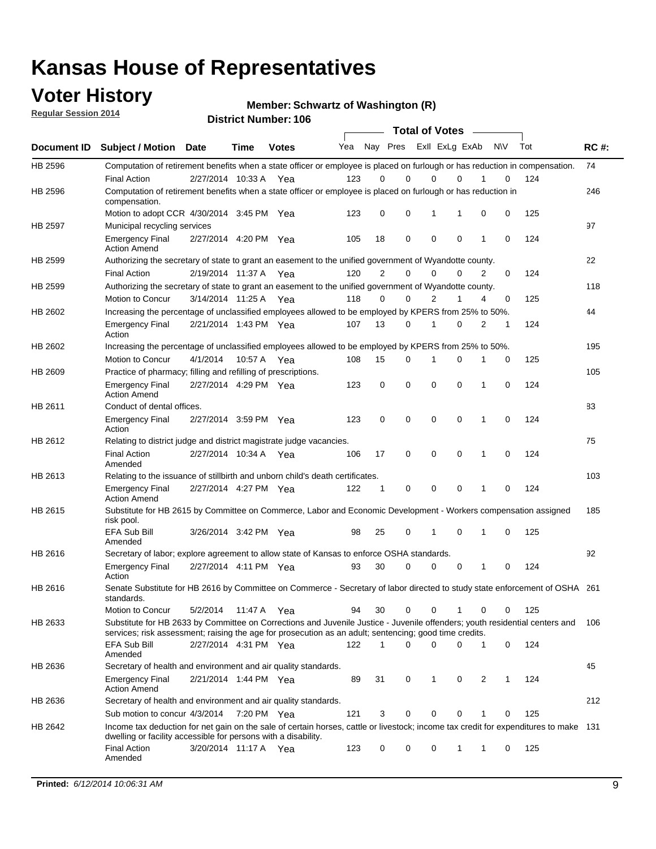### **Voter History**

**Regular Session 2014**

#### **Member: Schwartz of Washington (R)**

|                |                                                                                                                                                                                                                                       |                       |             | <b>DISTRICT MAILINGL. 100</b> |     |                |             |                | <b>Total of Votes</b> |   |           |     |             |
|----------------|---------------------------------------------------------------------------------------------------------------------------------------------------------------------------------------------------------------------------------------|-----------------------|-------------|-------------------------------|-----|----------------|-------------|----------------|-----------------------|---|-----------|-----|-------------|
| Document ID    | <b>Subject / Motion</b>                                                                                                                                                                                                               | <b>Date</b>           | Time        | <b>Votes</b>                  | Yea |                | Nay Pres    |                | Exll ExLg ExAb        |   | <b>NV</b> | Tot | <b>RC#:</b> |
| HB 2596        | Computation of retirement benefits when a state officer or employee is placed on furlough or has reduction in compensation.                                                                                                           |                       |             |                               |     |                |             |                |                       |   |           |     | 74          |
|                | <b>Final Action</b>                                                                                                                                                                                                                   | 2/27/2014 10:33 A     |             | Yea                           | 123 | 0              | $\Omega$    | 0              | $\Omega$              |   | 0         | 124 |             |
| HB 2596        | Computation of retirement benefits when a state officer or employee is placed on furlough or has reduction in<br>compensation.                                                                                                        |                       |             |                               |     |                |             |                |                       |   |           |     | 246         |
|                | Motion to adopt CCR 4/30/2014 3:45 PM Yea                                                                                                                                                                                             |                       |             |                               | 123 | 0              | 0           | 1              | 1                     | 0 | 0         | 125 |             |
| <b>HB 2597</b> | Municipal recycling services                                                                                                                                                                                                          |                       |             |                               |     |                |             |                |                       |   |           |     | 97          |
|                | <b>Emergency Final</b><br><b>Action Amend</b>                                                                                                                                                                                         | 2/27/2014 4:20 PM Yea |             |                               | 105 | 18             | $\mathbf 0$ | $\mathbf 0$    | $\mathbf 0$           | 1 | 0         | 124 |             |
| HB 2599        | Authorizing the secretary of state to grant an easement to the unified government of Wyandotte county.                                                                                                                                |                       |             |                               |     |                |             |                |                       |   |           |     | 22          |
|                | <b>Final Action</b>                                                                                                                                                                                                                   | 2/19/2014 11:37 A     |             | Yea                           | 120 | $\overline{2}$ | $\mathbf 0$ | 0              | $\Omega$              | 2 | 0         | 124 |             |
| HB 2599        | Authorizing the secretary of state to grant an easement to the unified government of Wyandotte county.                                                                                                                                |                       |             |                               |     |                |             |                |                       |   |           |     | 118         |
|                | Motion to Concur                                                                                                                                                                                                                      | 3/14/2014 11:25 A     |             | Yea                           | 118 | $\Omega$       | 0           | $\overline{2}$ | 1                     | 4 | 0         | 125 |             |
| HB 2602        | Increasing the percentage of unclassified employees allowed to be employed by KPERS from 25% to 50%.                                                                                                                                  |                       |             |                               |     |                |             |                |                       |   |           |     | 44          |
|                | <b>Emergency Final</b><br>Action                                                                                                                                                                                                      | 2/21/2014 1:43 PM Yea |             |                               | 107 | 13             | 0           | 1              | $\Omega$              | 2 | 1         | 124 |             |
| HB 2602        | Increasing the percentage of unclassified employees allowed to be employed by KPERS from 25% to 50%.                                                                                                                                  |                       |             |                               |     |                |             |                |                       |   |           |     | 195         |
|                | Motion to Concur                                                                                                                                                                                                                      | 4/1/2014              | 10:57 A Yea |                               | 108 | 15             | 0           | 1              | 0                     | 1 | 0         | 125 |             |
| HB 2609        | Practice of pharmacy; filling and refilling of prescriptions.                                                                                                                                                                         |                       |             |                               |     |                |             |                |                       |   |           |     | 105         |
|                | <b>Emergency Final</b><br><b>Action Amend</b>                                                                                                                                                                                         | 2/27/2014 4:29 PM Yea |             |                               | 123 | 0              | $\mathbf 0$ | $\mathbf 0$    | $\Omega$              | 1 | 0         | 124 |             |
| HB 2611        | Conduct of dental offices.                                                                                                                                                                                                            |                       |             |                               |     |                |             |                |                       |   |           |     | 83          |
|                | <b>Emergency Final</b><br>Action                                                                                                                                                                                                      | 2/27/2014 3:59 PM Yea |             |                               | 123 | 0              | $\mathbf 0$ | $\mathbf 0$    | $\mathbf 0$           | 1 | 0         | 124 |             |
| HB 2612        | Relating to district judge and district magistrate judge vacancies.                                                                                                                                                                   |                       |             |                               |     |                |             |                |                       |   |           |     | 75          |
|                | <b>Final Action</b><br>Amended                                                                                                                                                                                                        | 2/27/2014 10:34 A     |             | Yea                           | 106 | 17             | $\mathbf 0$ | $\mathbf 0$    | $\mathbf 0$           | 1 | 0         | 124 |             |
| HB 2613        | Relating to the issuance of stillbirth and unborn child's death certificates.                                                                                                                                                         |                       |             |                               |     |                |             |                |                       |   |           |     | 103         |
|                | <b>Emergency Final</b><br><b>Action Amend</b>                                                                                                                                                                                         | 2/27/2014 4:27 PM Yea |             |                               | 122 | 1              | 0           | $\mathbf 0$    | $\Omega$              | 1 | 0         | 124 |             |
| HB 2615        | Substitute for HB 2615 by Committee on Commerce, Labor and Economic Development - Workers compensation assigned<br>risk pool.                                                                                                         |                       |             |                               |     |                |             |                |                       |   |           |     | 185         |
|                | EFA Sub Bill<br>Amended                                                                                                                                                                                                               | 3/26/2014 3:42 PM Yea |             |                               | 98  | 25             | 0           | 1              | $\mathbf 0$           | 1 | 0         | 125 |             |
| HB 2616        | Secretary of labor; explore agreement to allow state of Kansas to enforce OSHA standards.                                                                                                                                             |                       |             |                               |     |                |             |                |                       |   |           |     | 92          |
|                | <b>Emergency Final</b><br>Action                                                                                                                                                                                                      | 2/27/2014 4:11 PM Yea |             |                               | 93  | 30             | 0           | 0              | $\mathbf 0$           | 1 | 0         | 124 |             |
| HB 2616        | Senate Substitute for HB 2616 by Committee on Commerce - Secretary of labor directed to study state enforcement of OSHA 261<br>standards.                                                                                             |                       |             |                               |     |                |             |                |                       |   |           |     |             |
|                | Motion to Concur                                                                                                                                                                                                                      | 5/2/2014              | 11:47 A Yea |                               | 94  | 30             | 0           | 0              | 1                     | 0 | 0         | 125 |             |
| HB 2633        | Substitute for HB 2633 by Committee on Corrections and Juvenile Justice - Juvenile offenders; youth residential centers and<br>services; risk assessment; raising the age for prosecution as an adult; sentencing; good time credits. |                       |             |                               |     |                |             |                |                       |   |           |     | 106         |
|                | EFA Sub Bill<br>Amended                                                                                                                                                                                                               | 2/27/2014 4:31 PM Yea |             |                               | 122 | 1              | 0           | $\mathbf 0$    | 0                     | 1 | 0         | 124 |             |
| HB 2636        | Secretary of health and environment and air quality standards.                                                                                                                                                                        |                       |             |                               |     |                |             |                |                       |   |           |     | 45          |
|                | <b>Emergency Final</b><br><b>Action Amend</b>                                                                                                                                                                                         | 2/21/2014 1:44 PM Yea |             |                               | 89  | 31             | 0           | 1              | 0                     | 2 | 1         | 124 |             |
| HB 2636        | Secretary of health and environment and air quality standards.                                                                                                                                                                        |                       |             |                               |     |                |             |                |                       |   |           |     | 212         |
|                | Sub motion to concur 4/3/2014                                                                                                                                                                                                         |                       | 7:20 PM Yea |                               | 121 | 3              | 0           | 0              | 0                     |   | 0         | 125 |             |
| HB 2642        | Income tax deduction for net gain on the sale of certain horses, cattle or livestock; income tax credit for expenditures to make 131<br>dwelling or facility accessible for persons with a disability.                                |                       |             |                               |     |                |             |                |                       |   |           |     |             |
|                | <b>Final Action</b><br>Amended                                                                                                                                                                                                        | 3/20/2014 11:17 A Yea |             |                               | 123 | 0              | 0           | 0              | 1                     | 1 | 0         | 125 |             |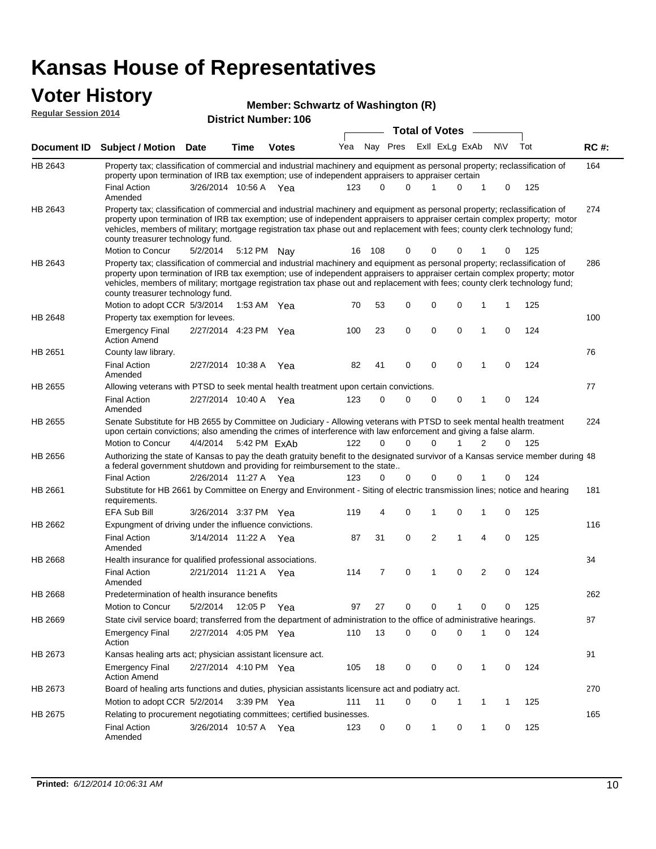### **Voter History Regular Session 2014**

#### **Member: Schwartz of Washington (R)**

|         |                                                                                                                                                                                                                                                                                                                                                                                                                               |                       |      | <b>DISTRICT MAILINGL. 100</b> |     |        |                               |   | <b>Total of Votes</b>   |             |              |           |     |             |
|---------|-------------------------------------------------------------------------------------------------------------------------------------------------------------------------------------------------------------------------------------------------------------------------------------------------------------------------------------------------------------------------------------------------------------------------------|-----------------------|------|-------------------------------|-----|--------|-------------------------------|---|-------------------------|-------------|--------------|-----------|-----|-------------|
|         | Document ID Subject / Motion Date                                                                                                                                                                                                                                                                                                                                                                                             |                       | Time | <b>Votes</b>                  | Yea |        |                               |   | Nay Pres ExII ExLg ExAb |             |              | <b>NV</b> | Tot | <b>RC#:</b> |
| HB 2643 | Property tax; classification of commercial and industrial machinery and equipment as personal property; reclassification of<br>property upon termination of IRB tax exemption; use of independent appraisers to appraiser certain                                                                                                                                                                                             |                       |      |                               |     |        |                               |   |                         |             |              |           |     | 164         |
|         | <b>Final Action</b><br>Amended                                                                                                                                                                                                                                                                                                                                                                                                | 3/26/2014 10:56 A Yea |      |                               | 123 |        | 0<br>0                        |   | 1                       | 0           | 1            | 0         | 125 |             |
| HB 2643 | Property tax; classification of commercial and industrial machinery and equipment as personal property; reclassification of<br>property upon termination of IRB tax exemption; use of independent appraisers to appraiser certain complex property; motor<br>vehicles, members of military; mortgage registration tax phase out and replacement with fees; county clerk technology fund;<br>county treasurer technology fund. |                       |      |                               |     |        |                               |   |                         |             |              |           |     | 274         |
|         | Motion to Concur                                                                                                                                                                                                                                                                                                                                                                                                              | 5/2/2014              |      | 5:12 PM Nay                   |     | 16 108 | 0                             |   | 0                       | 0           | 1            | 0         | 125 |             |
| HB 2643 | Property tax; classification of commercial and industrial machinery and equipment as personal property; reclassification of<br>property upon termination of IRB tax exemption; use of independent appraisers to appraiser certain complex property; motor<br>vehicles, members of military; mortgage registration tax phase out and replacement with fees; county clerk technology fund;<br>county treasurer technology fund. |                       |      |                               |     |        |                               |   |                         |             |              |           |     | 286         |
|         | Motion to adopt CCR 5/3/2014                                                                                                                                                                                                                                                                                                                                                                                                  |                       |      | 1:53 AM Yea                   | 70  | 53     | 0                             |   | $\mathbf 0$             | 0           | 1            | 1         | 125 |             |
| HB 2648 | Property tax exemption for levees.                                                                                                                                                                                                                                                                                                                                                                                            |                       |      |                               |     |        |                               |   |                         |             |              |           |     | 100         |
|         | <b>Emergency Final</b><br><b>Action Amend</b>                                                                                                                                                                                                                                                                                                                                                                                 | 2/27/2014 4:23 PM Yea |      |                               | 100 | 23     | 0                             |   | $\mathbf 0$             | 0           | 1            | 0         | 124 |             |
| HB 2651 | County law library.                                                                                                                                                                                                                                                                                                                                                                                                           |                       |      |                               |     |        |                               |   |                         |             |              |           |     | 76          |
|         | <b>Final Action</b><br>Amended                                                                                                                                                                                                                                                                                                                                                                                                | 2/27/2014 10:38 A     |      | Yea                           | 82  | 41     | 0                             |   | $\mathbf 0$             | 0           | 1            | 0         | 124 |             |
| HB 2655 | Allowing veterans with PTSD to seek mental health treatment upon certain convictions.                                                                                                                                                                                                                                                                                                                                         |                       |      |                               |     |        |                               |   |                         |             |              |           |     | 77          |
|         | <b>Final Action</b><br>Amended                                                                                                                                                                                                                                                                                                                                                                                                | 2/27/2014 10:40 A     |      | Yea                           | 123 |        | 0<br>0                        |   | 0                       | 0           | 1            | 0         | 124 |             |
| HB 2655 | Senate Substitute for HB 2655 by Committee on Judiciary - Allowing veterans with PTSD to seek mental health treatment<br>upon certain convictions; also amending the crimes of interference with law enforcement and giving a false alarm.                                                                                                                                                                                    |                       |      |                               |     |        |                               |   |                         |             |              |           |     | 224         |
|         | Motion to Concur                                                                                                                                                                                                                                                                                                                                                                                                              | 4/4/2014              |      | 5:42 PM ExAb                  | 122 |        | 0<br>0                        |   | $\Omega$                |             | 2            | 0         | 125 |             |
| HB 2656 | Authorizing the state of Kansas to pay the death gratuity benefit to the designated survivor of a Kansas service member during 48<br>a federal government shutdown and providing for reimbursement to the state                                                                                                                                                                                                               |                       |      |                               |     |        |                               |   |                         |             |              |           |     |             |
|         | <b>Final Action</b>                                                                                                                                                                                                                                                                                                                                                                                                           | 2/26/2014 11:27 A Yea |      |                               | 123 |        | 0<br>0                        |   | $\mathbf 0$             | 0           | 1            | 0         | 124 |             |
| HB 2661 | Substitute for HB 2661 by Committee on Energy and Environment - Siting of electric transmission lines; notice and hearing<br>requirements.                                                                                                                                                                                                                                                                                    |                       |      |                               |     |        |                               |   |                         |             |              |           |     | 181         |
|         | <b>EFA Sub Bill</b>                                                                                                                                                                                                                                                                                                                                                                                                           | 3/26/2014 3:37 PM Yea |      |                               | 119 |        | 0<br>4                        |   | $\mathbf 1$             | 0           | 1            | 0         | 125 |             |
| HB 2662 | Expungment of driving under the influence convictions.                                                                                                                                                                                                                                                                                                                                                                        |                       |      |                               |     |        |                               |   |                         |             |              |           |     | 116         |
|         | <b>Final Action</b><br>Amended                                                                                                                                                                                                                                                                                                                                                                                                | 3/14/2014 11:22 A Yea |      |                               | 87  | 31     | 0                             |   | $\overline{2}$          | 1           | 4            | 0         | 125 |             |
| HB 2668 | Health insurance for qualified professional associations.                                                                                                                                                                                                                                                                                                                                                                     |                       |      |                               |     |        |                               |   |                         |             |              |           |     | 34          |
|         | <b>Final Action</b><br>Amended                                                                                                                                                                                                                                                                                                                                                                                                | 2/21/2014 11:21 A Yea |      |                               | 114 |        | $\mathbf 0$<br>$\overline{7}$ |   | 1                       | $\mathbf 0$ | 2            | 0         | 124 |             |
| HB 2668 | Predetermination of health insurance benefits                                                                                                                                                                                                                                                                                                                                                                                 |                       |      |                               |     |        |                               |   |                         |             |              |           |     | 262         |
|         | Motion to Concur                                                                                                                                                                                                                                                                                                                                                                                                              | 5/2/2014              |      | 12:05 P Yea                   | 97  | 27     | 0                             |   | 0                       | 1           | 0            | 0         | 125 |             |
| HB 2669 | State civil service board; transferred from the department of administration to the office of administrative hearings.                                                                                                                                                                                                                                                                                                        |                       |      |                               |     |        |                               |   |                         |             |              |           |     | 87          |
|         | <b>Emergency Final</b><br>Action                                                                                                                                                                                                                                                                                                                                                                                              | 2/27/2014 4:05 PM Yea |      |                               | 110 | 13     | 0                             |   | $\Omega$                | 0           | 1            | 0         | 124 |             |
| HB 2673 | Kansas healing arts act; physician assistant licensure act.                                                                                                                                                                                                                                                                                                                                                                   |                       |      |                               |     |        |                               |   |                         |             |              |           |     | 91          |
|         | <b>Emergency Final</b><br><b>Action Amend</b>                                                                                                                                                                                                                                                                                                                                                                                 | 2/27/2014 4:10 PM Yea |      |                               | 105 | 18     | 0                             |   | 0                       | 0           | $\mathbf{1}$ | 0         | 124 |             |
| HB 2673 | Board of healing arts functions and duties, physician assistants licensure act and podiatry act.                                                                                                                                                                                                                                                                                                                              |                       |      |                               |     |        |                               |   |                         |             |              |           |     | 270         |
|         | Motion to adopt CCR 5/2/2014                                                                                                                                                                                                                                                                                                                                                                                                  |                       |      | 3:39 PM Yea                   | 111 | 11     |                               | 0 | 0                       | 1           | 1            | 1         | 125 |             |
| HB 2675 | Relating to procurement negotiating committees; certified businesses.                                                                                                                                                                                                                                                                                                                                                         |                       |      |                               |     |        |                               |   |                         |             |              |           |     | 165         |
|         | <b>Final Action</b><br>Amended                                                                                                                                                                                                                                                                                                                                                                                                | 3/26/2014 10:57 A Yea |      |                               | 123 |        | 0                             | 0 | 1                       | 0           | 1            | 0         | 125 |             |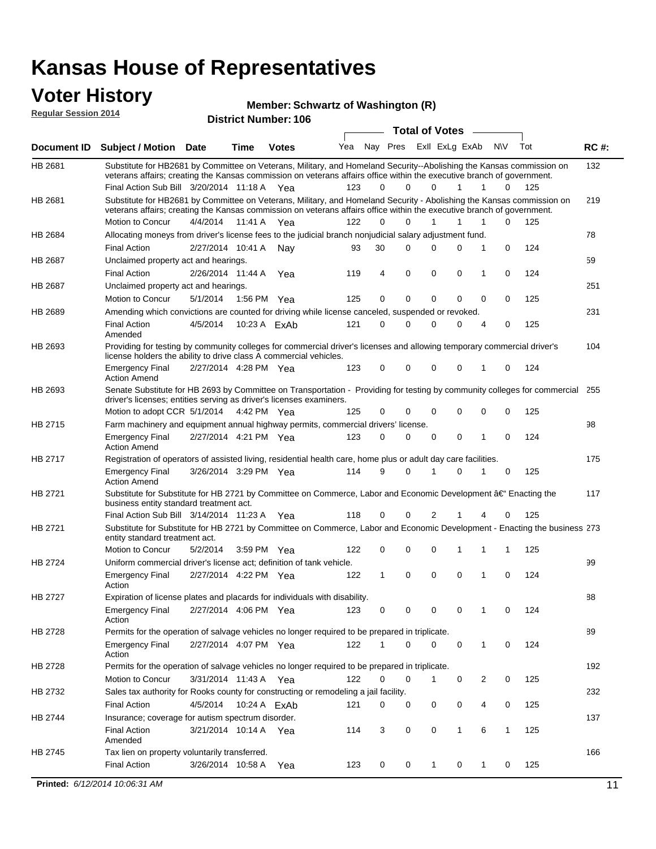### **Voter History**

**Regular Session 2014**

#### **Member: Schwartz of Washington (R)**

| <b>District Number: 106</b> |  |
|-----------------------------|--|
|                             |  |

|                |                                                                                                                                                                                                                                                 |                         |             |              |     |          |             | <b>Total of Votes</b> |              | $\sim$       |             |     |             |
|----------------|-------------------------------------------------------------------------------------------------------------------------------------------------------------------------------------------------------------------------------------------------|-------------------------|-------------|--------------|-----|----------|-------------|-----------------------|--------------|--------------|-------------|-----|-------------|
|                | Document ID Subject / Motion Date                                                                                                                                                                                                               |                         | Time        | <b>Votes</b> | Yea | Nay Pres |             | Exll ExLg ExAb        |              |              | <b>NV</b>   | Tot | <b>RC#:</b> |
| HB 2681        | Substitute for HB2681 by Committee on Veterans, Military, and Homeland Security--Abolishing the Kansas commission on                                                                                                                            |                         |             |              |     |          |             |                       |              |              |             |     | 132         |
|                | veterans affairs; creating the Kansas commission on veterans affairs office within the executive branch of government.                                                                                                                          |                         |             |              |     |          |             |                       |              |              |             |     |             |
|                | Final Action Sub Bill 3/20/2014 11:18 A Yea                                                                                                                                                                                                     |                         |             |              | 123 | 0        | $\Omega$    | $\Omega$              | $\mathbf{1}$ | $\mathbf{1}$ | 0           | 125 |             |
| HB 2681        | Substitute for HB2681 by Committee on Veterans, Military, and Homeland Security - Abolishing the Kansas commission on<br>veterans affairs; creating the Kansas commission on veterans affairs office within the executive branch of government. |                         |             |              |     |          |             |                       |              |              |             |     | 219         |
|                | Motion to Concur                                                                                                                                                                                                                                | 4/4/2014 11:41 A        |             | Yea          | 122 | 0        | $\Omega$    |                       | 1            | 1            | 0           | 125 |             |
| HB 2684        | Allocating moneys from driver's license fees to the judicial branch nonjudicial salary adjustment fund.                                                                                                                                         |                         |             |              |     |          |             |                       |              |              |             |     | 78          |
|                | <b>Final Action</b>                                                                                                                                                                                                                             | 2/27/2014 10:41 A Nay   |             |              | 93  | 30       | $\Omega$    | 0                     | $\Omega$     | 1            | $\mathbf 0$ | 124 |             |
| HB 2687        | Unclaimed property act and hearings.                                                                                                                                                                                                            |                         |             |              |     |          |             |                       |              |              |             |     | 59          |
|                | <b>Final Action</b>                                                                                                                                                                                                                             | 2/26/2014 11:44 A       |             | Yea          | 119 | 4        | 0           | 0                     | 0            | 1            | $\mathbf 0$ | 124 |             |
| <b>HB 2687</b> | Unclaimed property act and hearings.                                                                                                                                                                                                            |                         |             |              |     |          |             |                       |              |              |             |     | 251         |
|                | Motion to Concur                                                                                                                                                                                                                                | 5/1/2014                | 1:56 PM Yea |              | 125 | 0        | $\mathbf 0$ | 0                     | $\mathbf{0}$ | 0            | 0           | 125 |             |
| <b>HB 2689</b> | Amending which convictions are counted for driving while license canceled, suspended or revoked.                                                                                                                                                |                         |             |              |     |          |             |                       |              |              |             |     | 231         |
|                | <b>Final Action</b>                                                                                                                                                                                                                             | 4/5/2014                |             | 10:23 A ExAb | 121 | 0        | $\Omega$    | 0                     | $\Omega$     | 4            | 0           | 125 |             |
|                | Amended                                                                                                                                                                                                                                         |                         |             |              |     |          |             |                       |              |              |             |     |             |
| HB 2693        | Providing for testing by community colleges for commercial driver's licenses and allowing temporary commercial driver's                                                                                                                         |                         |             |              |     |          |             |                       |              |              |             |     | 104         |
|                | license holders the ability to drive class A commercial vehicles.                                                                                                                                                                               |                         |             |              |     |          |             |                       |              |              |             |     |             |
|                | <b>Emergency Final</b>                                                                                                                                                                                                                          | 2/27/2014 4:28 PM Yea   |             |              | 123 | 0        | 0           | 0                     | 0            | 1            | 0           | 124 |             |
| HB 2693        | <b>Action Amend</b><br>Senate Substitute for HB 2693 by Committee on Transportation - Providing for testing by community colleges for commercial 255                                                                                            |                         |             |              |     |          |             |                       |              |              |             |     |             |
|                | driver's licenses; entities serving as driver's licenses examiners.                                                                                                                                                                             |                         |             |              |     |          |             |                       |              |              |             |     |             |
|                | Motion to adopt CCR 5/1/2014 4:42 PM Yea                                                                                                                                                                                                        |                         |             |              | 125 | 0        | 0           | 0                     | 0            | 0            | 0           | 125 |             |
| <b>HB 2715</b> | Farm machinery and equipment annual highway permits, commercial drivers' license.                                                                                                                                                               |                         |             |              |     |          |             |                       |              |              |             |     | 98          |
|                | <b>Emergency Final</b>                                                                                                                                                                                                                          | 2/27/2014 4:21 PM Yea   |             |              | 123 | 0        | $\Omega$    | 0                     | 0            | 1            | 0           | 124 |             |
|                | <b>Action Amend</b>                                                                                                                                                                                                                             |                         |             |              |     |          |             |                       |              |              |             |     |             |
| HB 2717        | Registration of operators of assisted living, residential health care, home plus or adult day care facilities.                                                                                                                                  |                         |             |              |     |          |             |                       |              |              |             |     | 175         |
|                | <b>Emergency Final</b><br><b>Action Amend</b>                                                                                                                                                                                                   | 3/26/2014 3:29 PM Yea   |             |              | 114 | 9        | $\Omega$    | 1                     | 0            | 1            | 0           | 125 |             |
| HB 2721        | Substitute for Substitute for HB 2721 by Committee on Commerce, Labor and Economic Development †Enacting the                                                                                                                                    |                         |             |              |     |          |             |                       |              |              |             |     | 117         |
|                | business entity standard treatment act.                                                                                                                                                                                                         |                         |             |              |     |          |             |                       |              |              |             |     |             |
|                | Final Action Sub Bill 3/14/2014 11:23 A Yea                                                                                                                                                                                                     |                         |             |              | 118 | 0        | 0           | 2                     |              | 4            | 0           | 125 |             |
| HB 2721        | Substitute for Substitute for HB 2721 by Committee on Commerce, Labor and Economic Development - Enacting the business 273<br>entity standard treatment act.                                                                                    |                         |             |              |     |          |             |                       |              |              |             |     |             |
|                | Motion to Concur                                                                                                                                                                                                                                | 5/2/2014                | 3:59 PM Yea |              | 122 | 0        | 0           | 0                     | 1            | 1            | 1           | 125 |             |
| <b>HB 2724</b> | Uniform commercial driver's license act; definition of tank vehicle.                                                                                                                                                                            |                         |             |              |     |          |             |                       |              |              |             |     | 99          |
|                | <b>Emergency Final</b>                                                                                                                                                                                                                          | 2/27/2014 4:22 PM Yea   |             |              | 122 | 1        | 0           | 0                     | 0            | 1            | 0           | 124 |             |
| HB 2727        | Action<br>Expiration of license plates and placards for individuals with disability.                                                                                                                                                            |                         |             |              |     |          |             |                       |              |              |             |     | 88          |
|                | <b>Emergency Final</b>                                                                                                                                                                                                                          |                         |             |              |     |          |             | 0                     | 0            | $\mathbf{1}$ | 0           |     |             |
|                | Action                                                                                                                                                                                                                                          | 2/27/2014 4:06 PM Yea   |             |              | 123 | 0        | 0           |                       |              |              |             | 124 |             |
| HB 2728        | Permits for the operation of salvage vehicles no longer required to be prepared in triplicate.                                                                                                                                                  |                         |             |              |     |          |             |                       |              |              |             |     | 89          |
|                | <b>Emergency Final</b>                                                                                                                                                                                                                          | 2/27/2014 4:07 PM Yea   |             |              | 122 | 1        | 0           | 0                     | 0            | 1            | 0           | 124 |             |
|                | Action                                                                                                                                                                                                                                          |                         |             |              |     |          |             |                       |              |              |             |     |             |
| HB 2728        | Permits for the operation of salvage vehicles no longer required to be prepared in triplicate.                                                                                                                                                  |                         |             |              |     |          |             |                       |              |              |             |     | 192         |
|                | Motion to Concur                                                                                                                                                                                                                                | 3/31/2014 11:43 A Yea   |             |              | 122 | 0        | 0           | 1                     | 0            | 2            | 0           | 125 |             |
| HB 2732        | Sales tax authority for Rooks county for constructing or remodeling a jail facility.                                                                                                                                                            |                         |             |              |     |          |             |                       |              |              |             |     | 232         |
|                | <b>Final Action</b>                                                                                                                                                                                                                             | 4/5/2014  10:24 A  ExAb |             |              | 121 | 0        | 0           | 0                     | 0            | 4            | 0           | 125 |             |
| HB 2744        | Insurance; coverage for autism spectrum disorder.                                                                                                                                                                                               |                         |             |              |     |          |             |                       |              |              |             |     | 137         |
|                | <b>Final Action</b>                                                                                                                                                                                                                             | 3/21/2014 10:14 A Yea   |             |              | 114 | 3        | 0           | 0                     | 1            | 6            | 1           | 125 |             |
|                | Amended                                                                                                                                                                                                                                         |                         |             |              |     |          |             |                       |              |              |             |     |             |
| HB 2745        | Tax lien on property voluntarily transferred.                                                                                                                                                                                                   |                         |             |              |     |          |             |                       |              |              |             |     | 166         |
|                | <b>Final Action</b>                                                                                                                                                                                                                             | 3/26/2014 10:58 A       |             | Yea          | 123 | 0        | 0           | 1                     | 0            | 1            | 0           | 125 |             |
|                | Printed: 6/12/2014 10:06:31 AM                                                                                                                                                                                                                  |                         |             |              |     |          |             |                       |              |              |             |     | 11          |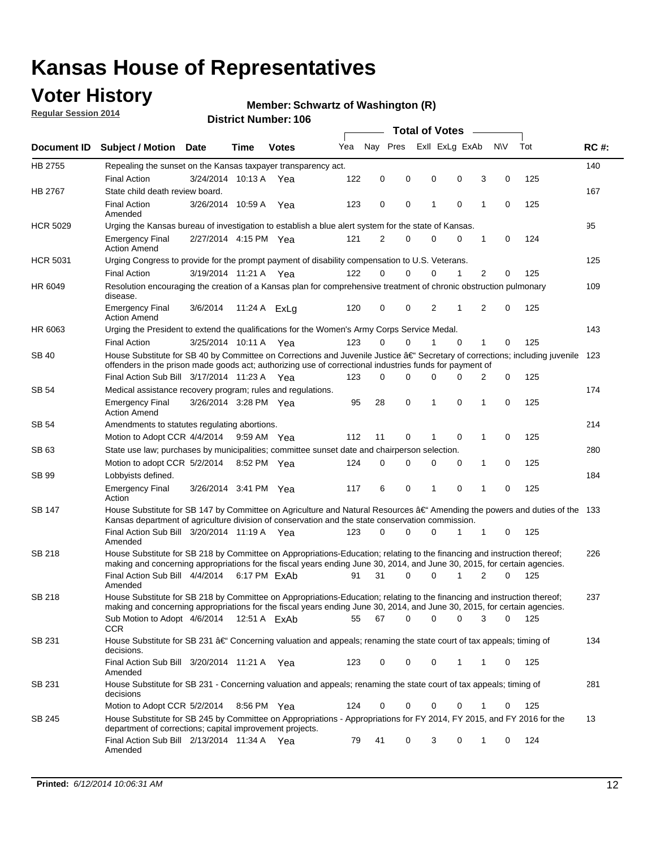### **Voter History**

**Regular Session 2014**

#### **Member: Schwartz of Washington (R)**

|                 |                                                                                                                                                                                                                                                      |                       |             |              |     |             |          | <b>Total of Votes</b> |             |   |                  |     |             |
|-----------------|------------------------------------------------------------------------------------------------------------------------------------------------------------------------------------------------------------------------------------------------------|-----------------------|-------------|--------------|-----|-------------|----------|-----------------------|-------------|---|------------------|-----|-------------|
| Document ID     | <b>Subject / Motion Date</b>                                                                                                                                                                                                                         |                       | Time        | <b>Votes</b> | Yea | Nav Pres    |          | Exll ExLg ExAb        |             |   | <b>NV</b>        | Tot | <b>RC#:</b> |
| HB 2755         | Repealing the sunset on the Kansas taxpayer transparency act.                                                                                                                                                                                        |                       |             |              |     |             |          |                       |             |   |                  |     | 140         |
|                 | <b>Final Action</b>                                                                                                                                                                                                                                  | 3/24/2014 10:13 A     |             | Yea          | 122 | $\mathbf 0$ | 0        | 0                     | 0           |   | 3<br>0           | 125 |             |
| HB 2767         | State child death review board.                                                                                                                                                                                                                      |                       |             |              |     |             |          |                       |             |   |                  |     | 167         |
|                 | <b>Final Action</b><br>Amended                                                                                                                                                                                                                       | 3/26/2014 10:59 A     |             | Yea          | 123 | 0           | 0        | 1                     | $\mathbf 0$ | 1 | $\mathbf 0$      | 125 |             |
| <b>HCR 5029</b> | Urging the Kansas bureau of investigation to establish a blue alert system for the state of Kansas.                                                                                                                                                  |                       |             |              |     |             |          |                       |             |   |                  |     | 95          |
|                 | <b>Emergency Final</b><br><b>Action Amend</b>                                                                                                                                                                                                        | 2/27/2014 4:15 PM Yea |             |              | 121 | 2           | 0        | $\mathbf 0$           | 0           |   | 1<br>0           | 124 |             |
| <b>HCR 5031</b> | Urging Congress to provide for the prompt payment of disability compensation to U.S. Veterans.                                                                                                                                                       |                       |             |              |     |             |          |                       |             |   |                  |     | 125         |
|                 | <b>Final Action</b>                                                                                                                                                                                                                                  | 3/19/2014 11:21 A Yea |             |              | 122 | $\Omega$    | $\Omega$ | 0                     | 1           |   | 2<br>0           | 125 |             |
| HR 6049         | Resolution encouraging the creation of a Kansas plan for comprehensive treatment of chronic obstruction pulmonary<br>disease.                                                                                                                        |                       |             |              |     |             |          |                       |             |   |                  |     | 109         |
|                 | <b>Emergency Final</b><br><b>Action Amend</b>                                                                                                                                                                                                        | 3/6/2014              |             | 11:24 A ExLg | 120 | $\mathbf 0$ | 0        | $\overline{2}$        | 1           |   | 2<br>$\mathbf 0$ | 125 |             |
| HR 6063         | Urging the President to extend the qualifications for the Women's Army Corps Service Medal.                                                                                                                                                          |                       |             |              |     |             |          |                       |             |   |                  |     | 143         |
|                 | <b>Final Action</b>                                                                                                                                                                                                                                  | 3/25/2014 10:11 A Yea |             |              | 123 | 0           | $\Omega$ | 1                     | $\Omega$    |   | 1<br>0           | 125 |             |
| <b>SB 40</b>    | House Substitute for SB 40 by Committee on Corrections and Juvenile Justice †Secretary of corrections; including juvenile<br>offenders in the prison made goods act; authorizing use of correctional industries funds for payment of                 |                       |             |              |     |             |          |                       |             |   |                  |     | 123         |
|                 | Final Action Sub Bill 3/17/2014 11:23 A Yea                                                                                                                                                                                                          |                       |             |              | 123 | 0           | 0        | 0                     | 0           |   | 0<br>2           | 125 |             |
| <b>SB 54</b>    | Medical assistance recovery program; rules and regulations.                                                                                                                                                                                          |                       |             |              |     |             |          |                       |             |   |                  |     | 174         |
|                 | <b>Emergency Final</b><br><b>Action Amend</b>                                                                                                                                                                                                        | 3/26/2014 3:28 PM Yea |             |              | 95  | 28          | 0        | 1                     | 0           | 1 | $\mathbf 0$      | 125 |             |
| <b>SB 54</b>    | Amendments to statutes regulating abortions.                                                                                                                                                                                                         |                       |             |              |     |             |          |                       |             |   |                  |     | 214         |
|                 | Motion to Adopt CCR 4/4/2014                                                                                                                                                                                                                         |                       | 9:59 AM Yea |              | 112 | 11          | 0        | 1                     | 0           |   | 1<br>0           | 125 |             |
| SB 63           | State use law; purchases by municipalities; committee sunset date and chairperson selection.                                                                                                                                                         |                       |             |              |     |             |          |                       |             |   |                  |     | 280         |
|                 | Motion to adopt CCR 5/2/2014                                                                                                                                                                                                                         |                       | 8:52 PM Yea |              | 124 | $\mathbf 0$ | 0        | 0                     | 0           |   | 0<br>1           | 125 |             |
| SB 99           | Lobbyists defined.                                                                                                                                                                                                                                   |                       |             |              |     |             |          |                       |             |   |                  |     | 184         |
|                 | <b>Emergency Final</b><br>Action                                                                                                                                                                                                                     | 3/26/2014 3:41 PM Yea |             |              | 117 | 6           | 0        | 1                     | 0           | 1 | $\mathbf 0$      | 125 |             |
| SB 147          | House Substitute for SB 147 by Committee on Agriculture and Natural Resources †Amending the powers and duties of the 133<br>Kansas department of agriculture division of conservation and the state conservation commission.                         |                       |             |              |     |             |          |                       |             |   |                  |     |             |
|                 | Final Action Sub Bill 3/20/2014 11:19 A Yea<br>Amended                                                                                                                                                                                               |                       |             |              | 123 | $\Omega$    | 0        | 0                     | 1           |   | 1<br>0           | 125 |             |
| <b>SB 218</b>   | House Substitute for SB 218 by Committee on Appropriations-Education; relating to the financing and instruction thereof;<br>making and concerning appropriations for the fiscal years ending June 30, 2014, and June 30, 2015, for certain agencies. |                       |             |              |     |             |          |                       |             |   |                  |     | 226         |
|                 | Final Action Sub Bill 4/4/2014 6:17 PM ExAb<br>Amended                                                                                                                                                                                               |                       |             |              | 91  | 31          | 0        | $\Omega$              | 1           |   | 2<br>$\Omega$    | 125 |             |
| <b>SB 218</b>   | House Substitute for SB 218 by Committee on Appropriations-Education; relating to the financing and instruction thereof;                                                                                                                             |                       |             |              |     |             |          |                       |             |   |                  |     | 237         |
|                 | making and concerning appropriations for the fiscal years ending June 30, 2014, and June 30, 2015, for certain agencies.<br>Sub Motion to Adopt 4/6/2014 12:51 A ExAb<br><b>CCR</b>                                                                  |                       |             |              | 55  | 67          | 0        | 0                     | 0           |   | 3<br>0           | 125 |             |
| SB 231          | House Substitute for SB 231 †Concerning valuation and appeals; renaming the state court of tax appeals; timing of<br>decisions.                                                                                                                      |                       |             |              |     |             |          |                       |             |   |                  |     | 134         |
|                 | Final Action Sub Bill 3/20/2014 11:21 A Yea<br>Amended                                                                                                                                                                                               |                       |             |              | 123 | 0           | 0        | 0                     | 1           |   | 1<br>0           | 125 |             |
| SB 231          | House Substitute for SB 231 - Concerning valuation and appeals; renaming the state court of tax appeals; timing of<br>decisions                                                                                                                      |                       |             |              |     |             |          |                       |             |   |                  |     | 281         |
|                 | Motion to Adopt CCR 5/2/2014                                                                                                                                                                                                                         |                       | 8:56 PM Yea |              | 124 | 0           | 0        | 0                     | 0           |   | 1<br>0           | 125 |             |
| SB 245          | House Substitute for SB 245 by Committee on Appropriations - Appropriations for FY 2014, FY 2015, and FY 2016 for the<br>department of corrections; capital improvement projects.                                                                    |                       |             |              |     |             |          |                       |             |   |                  |     | 13          |
|                 | Final Action Sub Bill 2/13/2014 11:34 A Yea<br>Amended                                                                                                                                                                                               |                       |             |              | 79  | 41          | 0        | 3                     | 0           | 1 | 0                | 124 |             |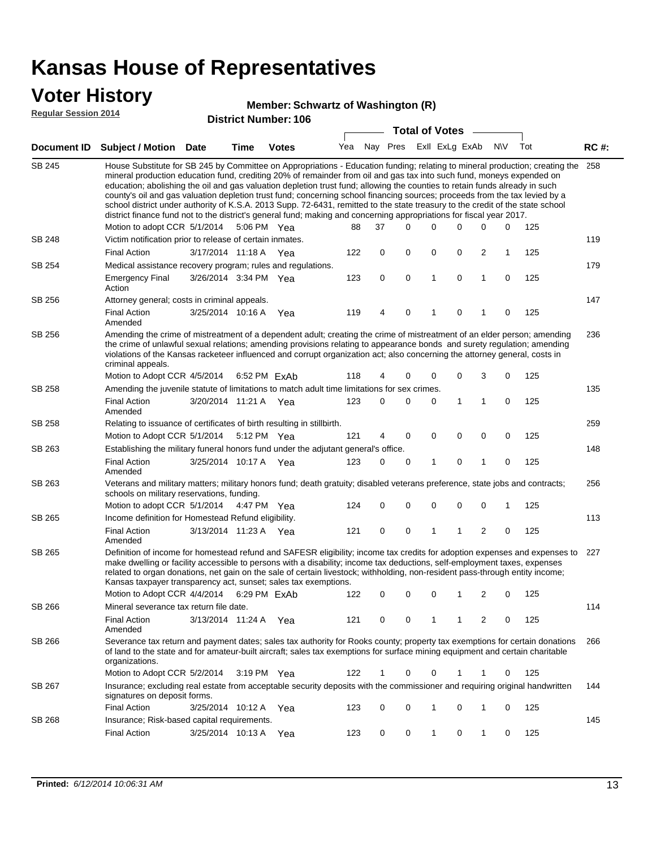### **Voter History**

#### **Member: Schwartz of Washington (R)**

**Regular Session 2014**

|               |                                                                                                                                                                                                                                                                                                                                                                                                                                                                                                                                                                                                                                                                                                                                                                                                               |                       |      | DISTRICT MAILIDEL, 100 |     |             |   | <b>Total of Votes</b> |              |                |              |              |     |             |
|---------------|---------------------------------------------------------------------------------------------------------------------------------------------------------------------------------------------------------------------------------------------------------------------------------------------------------------------------------------------------------------------------------------------------------------------------------------------------------------------------------------------------------------------------------------------------------------------------------------------------------------------------------------------------------------------------------------------------------------------------------------------------------------------------------------------------------------|-----------------------|------|------------------------|-----|-------------|---|-----------------------|--------------|----------------|--------------|--------------|-----|-------------|
|               | Document ID Subject / Motion Date                                                                                                                                                                                                                                                                                                                                                                                                                                                                                                                                                                                                                                                                                                                                                                             |                       | Time | <b>Votes</b>           | Yea | Nay Pres    |   |                       |              | Exll ExLg ExAb |              | <b>NV</b>    | Tot | <b>RC#:</b> |
| <b>SB 245</b> | House Substitute for SB 245 by Committee on Appropriations - Education funding; relating to mineral production; creating the<br>mineral production education fund, crediting 20% of remainder from oil and gas tax into such fund, moneys expended on<br>education; abolishing the oil and gas valuation depletion trust fund; allowing the counties to retain funds already in such<br>county's oil and gas valuation depletion trust fund; concerning school financing sources; proceeds from the tax levied by a<br>school district under authority of K.S.A. 2013 Supp. 72-6431, remitted to the state treasury to the credit of the state school<br>district finance fund not to the district's general fund; making and concerning appropriations for fiscal year 2017.<br>Motion to adopt CCR 5/1/2014 |                       |      | 5:06 PM Yea            | 88  | 37          |   | $\Omega$              | 0            | 0              | 0            | 0            | 125 | 258         |
| SB 248        | Victim notification prior to release of certain inmates.                                                                                                                                                                                                                                                                                                                                                                                                                                                                                                                                                                                                                                                                                                                                                      |                       |      |                        |     |             |   |                       |              |                |              |              |     | 119         |
|               | <b>Final Action</b>                                                                                                                                                                                                                                                                                                                                                                                                                                                                                                                                                                                                                                                                                                                                                                                           | 3/17/2014 11:18 A Yea |      |                        | 122 |             | 0 | 0                     | 0            | 0              | 2            | $\mathbf{1}$ | 125 |             |
| SB 254        | Medical assistance recovery program; rules and regulations.                                                                                                                                                                                                                                                                                                                                                                                                                                                                                                                                                                                                                                                                                                                                                   |                       |      |                        |     |             |   |                       |              |                |              |              |     | 179         |
|               | <b>Emergency Final</b><br>Action                                                                                                                                                                                                                                                                                                                                                                                                                                                                                                                                                                                                                                                                                                                                                                              | 3/26/2014 3:34 PM Yea |      |                        | 123 |             | 0 | $\mathbf 0$           | $\mathbf{1}$ | 0              | $\mathbf{1}$ | 0            | 125 |             |
| SB 256        | Attorney general; costs in criminal appeals.                                                                                                                                                                                                                                                                                                                                                                                                                                                                                                                                                                                                                                                                                                                                                                  |                       |      |                        |     |             |   |                       |              |                |              |              |     | 147         |
|               | <b>Final Action</b><br>Amended                                                                                                                                                                                                                                                                                                                                                                                                                                                                                                                                                                                                                                                                                                                                                                                | 3/25/2014 10:16 A     |      | Yea                    | 119 |             | 4 | 0                     | 1            | 0              | 1            | 0            | 125 |             |
| SB 256        | Amending the crime of mistreatment of a dependent adult; creating the crime of mistreatment of an elder person; amending<br>the crime of unlawful sexual relations; amending provisions relating to appearance bonds and surety regulation; amending<br>violations of the Kansas racketeer influenced and corrupt organization act; also concerning the attorney general, costs in<br>criminal appeals.                                                                                                                                                                                                                                                                                                                                                                                                       |                       |      |                        |     |             |   |                       |              | 236            |              |              |     |             |
|               | Motion to Adopt CCR 4/5/2014 6:52 PM ExAb                                                                                                                                                                                                                                                                                                                                                                                                                                                                                                                                                                                                                                                                                                                                                                     |                       |      |                        | 118 |             | 4 | 0                     | 0            | 0              | 3            | 0            | 125 |             |
| SB 258        | Amending the juvenile statute of limitations to match adult time limitations for sex crimes.<br><b>Final Action</b><br>Amended                                                                                                                                                                                                                                                                                                                                                                                                                                                                                                                                                                                                                                                                                | 3/20/2014 11:21 A Yea |      |                        | 123 |             | 0 | 0                     | 0            | 1              | 1            | 0            | 125 | 135         |
| SB 258        | Relating to issuance of certificates of birth resulting in stillbirth.                                                                                                                                                                                                                                                                                                                                                                                                                                                                                                                                                                                                                                                                                                                                        |                       |      |                        |     |             |   |                       |              |                |              |              |     | 259         |
|               | Motion to Adopt CCR 5/1/2014 5:12 PM Yea                                                                                                                                                                                                                                                                                                                                                                                                                                                                                                                                                                                                                                                                                                                                                                      |                       |      |                        | 121 |             | 4 | 0                     | 0            | $\mathbf 0$    | 0            | 0            | 125 |             |
| SB 263        | Establishing the military funeral honors fund under the adjutant general's office.                                                                                                                                                                                                                                                                                                                                                                                                                                                                                                                                                                                                                                                                                                                            |                       |      |                        |     |             |   |                       |              |                |              |              |     | 148         |
|               | <b>Final Action</b><br>Amended                                                                                                                                                                                                                                                                                                                                                                                                                                                                                                                                                                                                                                                                                                                                                                                | 3/25/2014 10:17 A Yea |      |                        | 123 |             | 0 | 0                     | 1            | 0              | 1            | $\mathbf 0$  | 125 |             |
| SB 263        | Veterans and military matters; military honors fund; death gratuity; disabled veterans preference, state jobs and contracts;<br>schools on military reservations, funding.                                                                                                                                                                                                                                                                                                                                                                                                                                                                                                                                                                                                                                    |                       |      |                        |     |             |   |                       |              |                |              |              |     | 256         |
|               | Motion to adopt CCR 5/1/2014 4:47 PM Yea                                                                                                                                                                                                                                                                                                                                                                                                                                                                                                                                                                                                                                                                                                                                                                      |                       |      |                        | 124 |             | 0 | 0                     | 0            | 0              | 0            | 1            | 125 |             |
| SB 265        | Income definition for Homestead Refund eligibility.                                                                                                                                                                                                                                                                                                                                                                                                                                                                                                                                                                                                                                                                                                                                                           |                       |      |                        |     |             |   |                       |              |                |              |              |     | 113         |
|               | Final Action<br>Amended                                                                                                                                                                                                                                                                                                                                                                                                                                                                                                                                                                                                                                                                                                                                                                                       | 3/13/2014 11:23 A Yea |      |                        | 121 |             | 0 | $\pmb{0}$             | 1            | 1              | 2            | 0            | 125 |             |
| SB 265        | Definition of income for homestead refund and SAFESR eligibility; income tax credits for adoption expenses and expenses to<br>make dwelling or facility accessible to persons with a disability; income tax deductions, self-employment taxes, expenses<br>related to organ donations, net gain on the sale of certain livestock; withholding, non-resident pass-through entity income;<br>Kansas taxpayer transparency act, sunset; sales tax exemptions.<br>Motion to Adopt CCR 4/4/2014 6:29 PM FxAb<br>2<br>125<br>122<br>0<br>0<br>0<br>1<br>0                                                                                                                                                                                                                                                           |                       |      |                        |     |             |   |                       |              | 227            |              |              |     |             |
| <b>SB 266</b> | Mineral severance tax return file date.                                                                                                                                                                                                                                                                                                                                                                                                                                                                                                                                                                                                                                                                                                                                                                       |                       |      |                        |     |             |   |                       |              |                |              |              |     | 114         |
|               | <b>Final Action</b><br>Amended                                                                                                                                                                                                                                                                                                                                                                                                                                                                                                                                                                                                                                                                                                                                                                                | 3/13/2014 11:24 A     |      | Yea                    | 121 |             | 0 | 0                     | 1            | 1              | 2            | 0            | 125 |             |
| SB 266        | Severance tax return and payment dates; sales tax authority for Rooks county; property tax exemptions for certain donations<br>of land to the state and for amateur-built aircraft; sales tax exemptions for surface mining equipment and certain charitable<br>organizations.                                                                                                                                                                                                                                                                                                                                                                                                                                                                                                                                |                       |      |                        |     |             |   |                       |              |                |              |              |     | 266         |
|               | Motion to Adopt CCR 5/2/2014                                                                                                                                                                                                                                                                                                                                                                                                                                                                                                                                                                                                                                                                                                                                                                                  |                       |      | 3:19 PM Yea            | 122 | $\mathbf 1$ |   | 0                     | 0            | 1              | 1            | 0            | 125 |             |
| SB 267        | Insurance; excluding real estate from acceptable security deposits with the commissioner and requiring original handwritten<br>signatures on deposit forms.                                                                                                                                                                                                                                                                                                                                                                                                                                                                                                                                                                                                                                                   |                       |      |                        |     |             |   |                       | 144          |                |              |              |     |             |
|               | <b>Final Action</b>                                                                                                                                                                                                                                                                                                                                                                                                                                                                                                                                                                                                                                                                                                                                                                                           | 3/25/2014 10:12 A     |      | Yea                    | 123 |             | 0 | 0                     | 1            | 0              | 1            | 0            | 125 |             |
| SB 268        | Insurance; Risk-based capital requirements.                                                                                                                                                                                                                                                                                                                                                                                                                                                                                                                                                                                                                                                                                                                                                                   |                       |      |                        |     |             |   |                       |              |                |              |              |     | 145         |
|               | <b>Final Action</b>                                                                                                                                                                                                                                                                                                                                                                                                                                                                                                                                                                                                                                                                                                                                                                                           | 3/25/2014 10:13 A     |      | Yea                    | 123 |             | 0 | 0                     | 1            | 0              | 1            | 0            | 125 |             |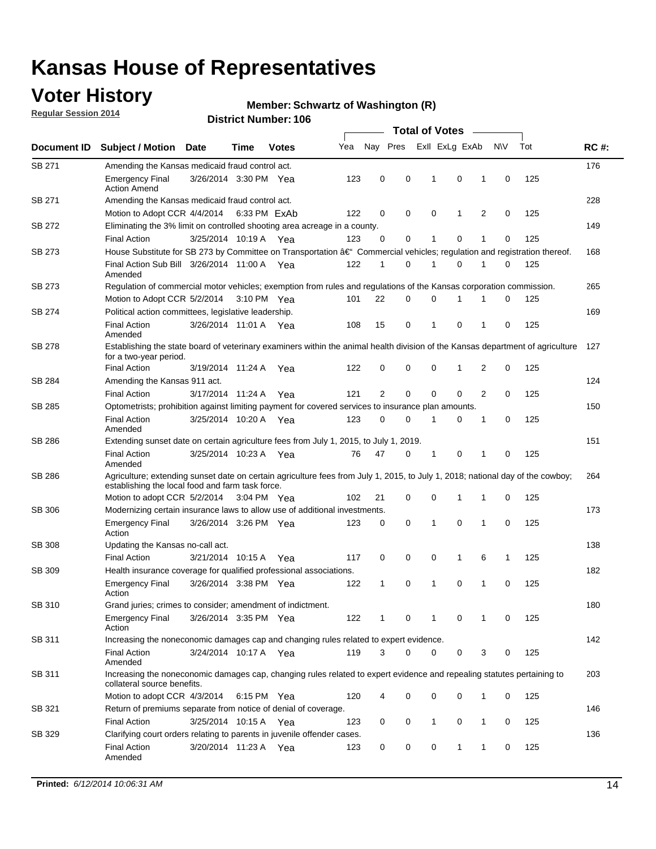### **Voter History**

**Regular Session 2014**

#### **Member: Schwartz of Washington (R)**

|               |                                                                                                                                                                                    |                       |      |              |     |                |             | <b>Total of Votes</b> |              |   |             |     |             |
|---------------|------------------------------------------------------------------------------------------------------------------------------------------------------------------------------------|-----------------------|------|--------------|-----|----------------|-------------|-----------------------|--------------|---|-------------|-----|-------------|
| Document ID   | <b>Subject / Motion Date</b>                                                                                                                                                       |                       | Time | <b>Votes</b> | Yea | Nay Pres       |             | Exll ExLg ExAb        |              |   | N\V         | Tot | <b>RC#:</b> |
| SB 271        | Amending the Kansas medicaid fraud control act.                                                                                                                                    |                       |      |              |     |                |             |                       |              |   |             |     | 176         |
|               | <b>Emergency Final</b><br><b>Action Amend</b>                                                                                                                                      | 3/26/2014 3:30 PM Yea |      |              | 123 | 0              | 0           | 1                     | 0            | 1 | $\mathbf 0$ | 125 |             |
| SB 271        | Amending the Kansas medicaid fraud control act.                                                                                                                                    |                       |      |              |     |                |             |                       |              |   |             |     | 228         |
|               | Motion to Adopt CCR 4/4/2014 6:33 PM ExAb                                                                                                                                          |                       |      |              | 122 | 0              | 0           | 0                     | 1            | 2 | 0           | 125 |             |
| SB 272        | Eliminating the 3% limit on controlled shooting area acreage in a county.                                                                                                          |                       |      |              |     |                |             |                       |              |   |             |     | 149         |
|               | <b>Final Action</b>                                                                                                                                                                | 3/25/2014 10:19 A Yea |      |              | 123 | 0              | 0           | 1                     | 0            | 1 | $\mathbf 0$ | 125 |             |
| SB 273        | House Substitute for SB 273 by Committee on Transportation †Commercial vehicles; regulation and registration thereof.                                                              |                       |      |              |     |                |             |                       |              |   |             |     | 168         |
|               | Final Action Sub Bill 3/26/2014 11:00 A Yea<br>Amended                                                                                                                             |                       |      |              | 122 | 1              | 0           | 1                     | 0            | 1 | 0           | 125 |             |
| SB 273        | Regulation of commercial motor vehicles; exemption from rules and regulations of the Kansas corporation commission.                                                                |                       |      |              |     |                |             |                       |              |   |             |     | 265         |
|               | Motion to Adopt CCR 5/2/2014 3:10 PM Yea                                                                                                                                           |                       |      |              | 101 | 22             | 0           | 0                     | 1            | 1 | 0           | 125 |             |
| SB 274        | Political action committees, legislative leadership.                                                                                                                               |                       |      |              |     |                |             |                       |              |   |             |     | 169         |
|               | <b>Final Action</b><br>Amended                                                                                                                                                     | 3/26/2014 11:01 A Yea |      |              | 108 | 15             | 0           | -1                    | 0            | 1 | 0           | 125 |             |
| <b>SB 278</b> | Establishing the state board of veterinary examiners within the animal health division of the Kansas department of agriculture<br>for a two-year period.                           |                       |      |              |     |                |             |                       |              |   |             |     | 127         |
|               | <b>Final Action</b>                                                                                                                                                                | 3/19/2014 11:24 A     |      | Yea          | 122 | 0              | 0           | 0                     | 1            | 2 | 0           | 125 |             |
| SB 284        | Amending the Kansas 911 act.                                                                                                                                                       |                       |      |              |     |                |             |                       |              |   |             |     | 124         |
|               | <b>Final Action</b>                                                                                                                                                                | 3/17/2014 11:24 A     |      | Yea          | 121 | $\overline{2}$ | $\mathbf 0$ | $\mathbf 0$           | $\mathbf 0$  | 2 | 0           | 125 |             |
| SB 285        | Optometrists; prohibition against limiting payment for covered services to insurance plan amounts.                                                                                 |                       |      |              |     |                |             |                       |              |   |             |     | 150         |
|               | <b>Final Action</b><br>Amended                                                                                                                                                     | 3/25/2014 10:20 A     |      | Yea          | 123 | 0              | 0           | $\mathbf{1}$          | 0            | 1 | 0           | 125 |             |
| SB 286        | Extending sunset date on certain agriculture fees from July 1, 2015, to July 1, 2019.                                                                                              |                       |      |              |     |                |             |                       |              |   |             |     | 151         |
|               | <b>Final Action</b><br>Amended                                                                                                                                                     | 3/25/2014 10:23 A Yea |      |              | 76  | 47             | 0           | $\mathbf{1}$          | 0            | 1 | 0           | 125 |             |
| SB 286        | Agriculture; extending sunset date on certain agriculture fees from July 1, 2015, to July 1, 2018; national day of the cowboy;<br>establishing the local food and farm task force. |                       |      |              |     |                |             |                       |              |   |             |     | 264         |
|               | Motion to adopt CCR 5/2/2014 3:04 PM Yea                                                                                                                                           |                       |      |              | 102 | 21             | 0           | 0                     | 1            | 1 | 0           | 125 |             |
| SB 306        | Modernizing certain insurance laws to allow use of additional investments.                                                                                                         |                       |      |              |     |                |             |                       |              |   |             |     | 173         |
|               | <b>Emergency Final</b>                                                                                                                                                             | 3/26/2014 3:26 PM Yea |      |              | 123 | 0              | 0           | 1                     | $\mathbf 0$  | 1 | 0           | 125 |             |
|               | Action                                                                                                                                                                             |                       |      |              |     |                |             |                       |              |   |             |     |             |
| SB 308        | Updating the Kansas no-call act.                                                                                                                                                   |                       |      |              |     |                |             |                       |              |   |             |     | 138         |
|               | <b>Final Action</b>                                                                                                                                                                | 3/21/2014 10:15 A     |      | Yea          | 117 | 0              | 0           | 0                     | $\mathbf{1}$ | 6 | 1           | 125 |             |
| SB 309        | Health insurance coverage for qualified professional associations.                                                                                                                 |                       |      |              |     |                |             |                       |              |   |             |     | 182         |
|               | <b>Emergency Final</b><br>Action                                                                                                                                                   | 3/26/2014 3:38 PM Yea |      |              | 122 | 1              | 0           | 1                     | 0            | 1 | 0           | 125 |             |
| SB 310        | Grand juries; crimes to consider; amendment of indictment.                                                                                                                         |                       |      |              |     |                |             |                       |              |   |             |     | 180         |
|               | <b>Emergency Final</b><br>Action                                                                                                                                                   | 3/26/2014 3:35 PM Yea |      |              | 122 | 1              | 0           | 1                     | 0            | 1 | 0           | 125 |             |
| SB 311        | Increasing the noneconomic damages cap and changing rules related to expert evidence.                                                                                              |                       |      |              |     |                |             |                       |              |   |             |     | 142         |
|               | <b>Final Action</b><br>Amended                                                                                                                                                     | 3/24/2014 10:17 A Yea |      |              | 119 | 3              | $\Omega$    | 0                     | 0            | 3 | 0           | 125 |             |
| SB 311        | Increasing the noneconomic damages cap, changing rules related to expert evidence and repealing statutes pertaining to<br>collateral source benefits.                              |                       |      |              |     |                |             |                       |              |   |             |     | 203         |
|               | Motion to adopt CCR 4/3/2014 6:15 PM Yea                                                                                                                                           |                       |      |              | 120 | 4              | 0           | 0                     | 0            | 1 | 0           | 125 |             |
| SB 321        | Return of premiums separate from notice of denial of coverage.                                                                                                                     |                       |      |              |     |                |             |                       |              |   |             |     | 146         |
|               | <b>Final Action</b>                                                                                                                                                                | 3/25/2014 10:15 A Yea |      |              | 123 | 0              | 0           | 1                     | 0            | 1 | 0           | 125 |             |
| SB 329        | Clarifying court orders relating to parents in juvenile offender cases.<br><b>Final Action</b><br>Amended                                                                          | 3/20/2014 11:23 A Yea |      |              | 123 | 0              | 0           | 0                     | 1            | 1 | 0           | 125 | 136         |
|               |                                                                                                                                                                                    |                       |      |              |     |                |             |                       |              |   |             |     |             |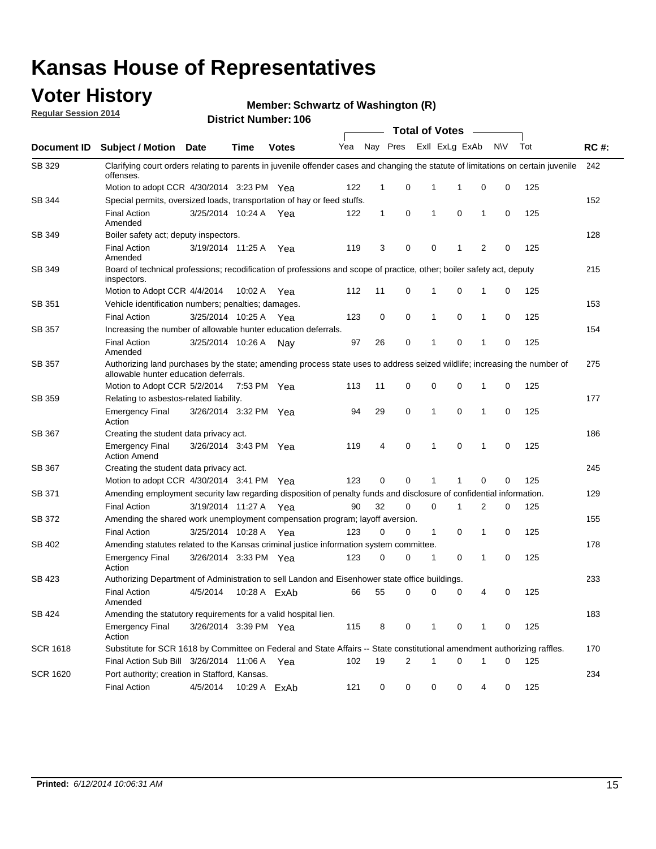### **Voter History**

**Regular Session 2014**

#### **Member: Schwartz of Washington (R)**

|                 |                                                                                                                                                                    |                       |             |              |     |              |                |              | <b>Total of Votes</b> |              |           |     |             |
|-----------------|--------------------------------------------------------------------------------------------------------------------------------------------------------------------|-----------------------|-------------|--------------|-----|--------------|----------------|--------------|-----------------------|--------------|-----------|-----|-------------|
|                 | Document ID Subject / Motion Date                                                                                                                                  |                       | Time        | <b>Votes</b> | Yea |              | Nay Pres       |              | Exll ExLg ExAb        |              | <b>NV</b> | Tot | <b>RC#:</b> |
| SB 329          | Clarifying court orders relating to parents in juvenile offender cases and changing the statute of limitations on certain juvenile<br>offenses.                    |                       |             |              |     |              |                |              |                       |              |           |     | 242         |
|                 | Motion to adopt CCR 4/30/2014 3:23 PM Yea                                                                                                                          |                       |             |              | 122 | $\mathbf 1$  | 0              | 1            | -1                    | 0            | 0         | 125 |             |
| SB 344          | Special permits, oversized loads, transportation of hay or feed stuffs.                                                                                            |                       |             |              |     |              |                |              |                       |              |           |     | 152         |
|                 | <b>Final Action</b><br>Amended                                                                                                                                     | 3/25/2014 10:24 A     |             | Yea          | 122 | $\mathbf{1}$ | 0              | 1            | 0                     | $\mathbf{1}$ | 0         | 125 |             |
| <b>SB 349</b>   | Boiler safety act; deputy inspectors.                                                                                                                              |                       |             |              |     |              |                |              |                       |              |           |     | 128         |
|                 | <b>Final Action</b><br>Amended                                                                                                                                     | 3/19/2014 11:25 A     |             | Yea          | 119 | 3            | 0              | 0            | 1                     | 2            | 0         | 125 |             |
| SB 349          | Board of technical professions; recodification of professions and scope of practice, other; boiler safety act, deputy<br>inspectors.                               |                       |             |              |     |              |                |              |                       |              |           |     | 215         |
|                 | Motion to Adopt CCR 4/4/2014                                                                                                                                       |                       | 10:02 A     | Yea          | 112 | 11           | 0              | 1            | 0                     | 1            | 0         | 125 |             |
| SB 351          | Vehicle identification numbers; penalties; damages.                                                                                                                |                       |             |              |     |              |                |              |                       |              |           |     | 153         |
|                 | <b>Final Action</b>                                                                                                                                                | 3/25/2014 10:25 A     |             | Yea          | 123 | 0            | 0              | 1            | 0                     | 1            | 0         | 125 |             |
| SB 357          | Increasing the number of allowable hunter education deferrals.                                                                                                     |                       |             |              |     |              |                |              |                       |              |           |     | 154         |
|                 | <b>Final Action</b><br>Amended                                                                                                                                     | 3/25/2014 10:26 A     |             | Nav          | 97  | 26           | 0              | $\mathbf{1}$ | 0                     | 1            | 0         | 125 |             |
| SB 357          | Authorizing land purchases by the state; amending process state uses to address seized wildlife; increasing the number of<br>allowable hunter education deferrals. |                       |             |              |     |              |                |              |                       |              |           |     | 275         |
|                 | Motion to Adopt CCR 5/2/2014                                                                                                                                       |                       | 7:53 PM Yea |              | 113 | 11           | 0              | 0            | $\mathbf 0$           | 1            | 0         | 125 |             |
| SB 359          | Relating to asbestos-related liability.                                                                                                                            |                       |             |              |     |              |                |              |                       |              | 177       |     |             |
|                 | <b>Emergency Final</b><br>Action                                                                                                                                   | 3/26/2014 3:32 PM Yea |             |              | 94  | 29           | 0              | 1            | $\Omega$              | 1            | 0         | 125 |             |
| <b>SB 367</b>   | Creating the student data privacy act.                                                                                                                             |                       |             |              |     |              |                |              |                       |              |           |     | 186         |
|                 | <b>Emergency Final</b><br><b>Action Amend</b>                                                                                                                      | 3/26/2014 3:43 PM Yea |             |              | 119 | 4            | 0              | 1            | 0                     | 1            | 0         | 125 |             |
| SB 367          | Creating the student data privacy act.                                                                                                                             |                       |             |              |     |              |                |              |                       |              |           |     | 245         |
|                 | Motion to adopt CCR 4/30/2014 3:41 PM Yea                                                                                                                          |                       |             |              | 123 | 0            | 0              | 1            | 1                     | 0            | 0         | 125 |             |
| SB 371          | Amending employment security law regarding disposition of penalty funds and disclosure of confidential information.                                                |                       |             |              |     |              |                |              |                       |              |           |     | 129         |
|                 | <b>Final Action</b>                                                                                                                                                | 3/19/2014 11:27 A     |             | Yea          | 90  | 32           | 0              | $\mathbf 0$  | 1                     | 2            | 0         | 125 |             |
| SB 372          | Amending the shared work unemployment compensation program; layoff aversion.                                                                                       |                       |             |              |     |              |                |              |                       |              |           |     | 155         |
|                 | <b>Final Action</b>                                                                                                                                                | 3/25/2014 10:28 A     |             | Yea          | 123 | 0            | 0              | 1            | 0                     | 1            | 0         | 125 |             |
| SB 402          | Amending statutes related to the Kansas criminal justice information system committee.                                                                             |                       |             |              |     |              |                |              |                       |              |           |     | 178         |
|                 | <b>Emergency Final</b><br>Action                                                                                                                                   | 3/26/2014 3:33 PM Yea |             |              | 123 | 0            | 0              | 1            | 0                     | $\mathbf{1}$ | 0         | 125 |             |
| SB 423          | Authorizing Department of Administration to sell Landon and Eisenhower state office buildings.                                                                     |                       |             |              |     |              |                |              |                       |              |           |     | 233         |
|                 | <b>Final Action</b><br>Amended                                                                                                                                     | 4/5/2014              |             | 10:28 A ExAb | 66  | 55           | 0              | 0            | 0                     | 4            | 0         | 125 |             |
| SB 424          | Amending the statutory requirements for a valid hospital lien.                                                                                                     |                       |             |              |     |              |                |              |                       |              |           |     | 183         |
|                 | <b>Emergency Final</b><br>Action                                                                                                                                   | 3/26/2014 3:39 PM Yea |             |              | 115 | 8            | 0              | 1            | 0                     | 1            | 0         | 125 |             |
| <b>SCR 1618</b> | Substitute for SCR 1618 by Committee on Federal and State Affairs -- State constitutional amendment authorizing raffles.                                           |                       |             |              |     |              |                |              |                       |              |           |     | 170         |
|                 | Final Action Sub Bill 3/26/2014 11:06 A Yea                                                                                                                        |                       |             |              | 102 | 19           | $\overline{c}$ | 1            | 0                     | 1            | 0         | 125 |             |
| <b>SCR 1620</b> | Port authority; creation in Stafford, Kansas.                                                                                                                      |                       |             |              |     |              |                |              |                       |              |           |     | 234         |
|                 | <b>Final Action</b>                                                                                                                                                | 4/5/2014              |             | 10:29 A ExAb | 121 | 0            | 0              | 0            | 0                     | 4            | 0         | 125 |             |